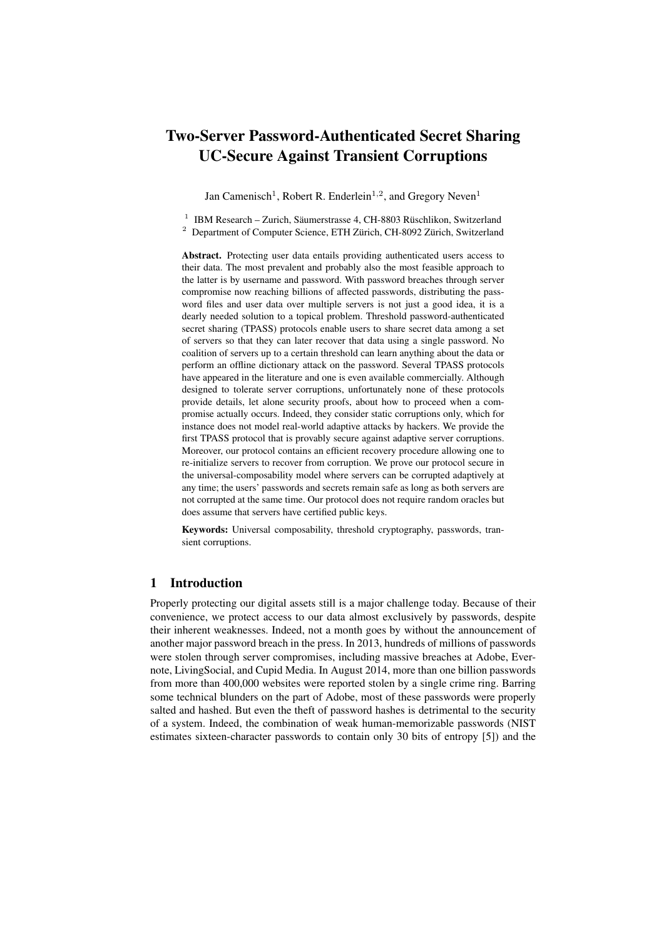# Two-Server Password-Authenticated Secret Sharing UC-Secure Against Transient Corruptions

Jan Camenisch<sup>1</sup>, Robert R. Enderlein<sup>1,2</sup>, and Gregory Neven<sup>1</sup>

 $1$  IBM Research – Zurich, Säumerstrasse 4, CH-8803 Rüschlikon, Switzerland  $2$  Department of Computer Science, ETH Zürich, CH-8092 Zürich, Switzerland

Abstract. Protecting user data entails providing authenticated users access to their data. The most prevalent and probably also the most feasible approach to the latter is by username and password. With password breaches through server compromise now reaching billions of affected passwords, distributing the password files and user data over multiple servers is not just a good idea, it is a dearly needed solution to a topical problem. Threshold password-authenticated secret sharing (TPASS) protocols enable users to share secret data among a set of servers so that they can later recover that data using a single password. No coalition of servers up to a certain threshold can learn anything about the data or perform an offline dictionary attack on the password. Several TPASS protocols have appeared in the literature and one is even available commercially. Although designed to tolerate server corruptions, unfortunately none of these protocols provide details, let alone security proofs, about how to proceed when a compromise actually occurs. Indeed, they consider static corruptions only, which for instance does not model real-world adaptive attacks by hackers. We provide the first TPASS protocol that is provably secure against adaptive server corruptions. Moreover, our protocol contains an efficient recovery procedure allowing one to re-initialize servers to recover from corruption. We prove our protocol secure in the universal-composability model where servers can be corrupted adaptively at any time; the users' passwords and secrets remain safe as long as both servers are not corrupted at the same time. Our protocol does not require random oracles but does assume that servers have certified public keys.

Keywords: Universal composability, threshold cryptography, passwords, transient corruptions.

# 1 Introduction

Properly protecting our digital assets still is a major challenge today. Because of their convenience, we protect access to our data almost exclusively by passwords, despite their inherent weaknesses. Indeed, not a month goes by without the announcement of another major password breach in the press. In 2013, hundreds of millions of passwords were stolen through server compromises, including massive breaches at Adobe, Evernote, LivingSocial, and Cupid Media. In August 2014, more than one billion passwords from more than 400,000 websites were reported stolen by a single crime ring. Barring some technical blunders on the part of Adobe, most of these passwords were properly salted and hashed. But even the theft of password hashes is detrimental to the security of a system. Indeed, the combination of weak human-memorizable passwords (NIST estimates sixteen-character passwords to contain only 30 bits of entropy [5]) and the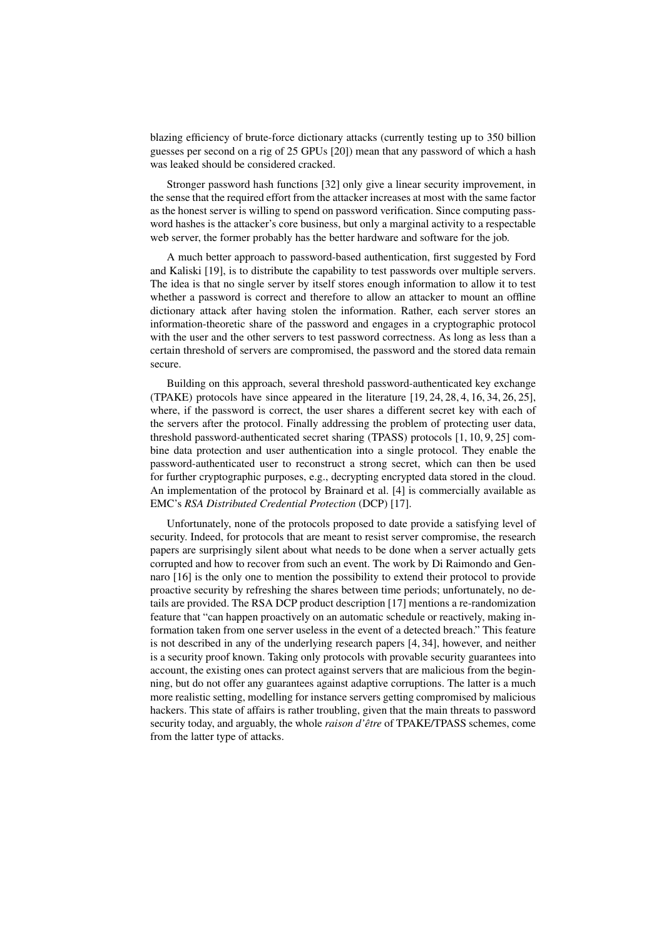blazing efficiency of brute-force dictionary attacks (currently testing up to 350 billion guesses per second on a rig of 25 GPUs [20]) mean that any password of which a hash was leaked should be considered cracked.

Stronger password hash functions [32] only give a linear security improvement, in the sense that the required effort from the attacker increases at most with the same factor as the honest server is willing to spend on password verification. Since computing password hashes is the attacker's core business, but only a marginal activity to a respectable web server, the former probably has the better hardware and software for the job.

A much better approach to password-based authentication, first suggested by Ford and Kaliski [19], is to distribute the capability to test passwords over multiple servers. The idea is that no single server by itself stores enough information to allow it to test whether a password is correct and therefore to allow an attacker to mount an offline dictionary attack after having stolen the information. Rather, each server stores an information-theoretic share of the password and engages in a cryptographic protocol with the user and the other servers to test password correctness. As long as less than a certain threshold of servers are compromised, the password and the stored data remain secure.

Building on this approach, several threshold password-authenticated key exchange (TPAKE) protocols have since appeared in the literature [19, 24, 28, 4, 16, 34, 26, 25], where, if the password is correct, the user shares a different secret key with each of the servers after the protocol. Finally addressing the problem of protecting user data, threshold password-authenticated secret sharing (TPASS) protocols [1, 10, 9, 25] combine data protection and user authentication into a single protocol. They enable the password-authenticated user to reconstruct a strong secret, which can then be used for further cryptographic purposes, e.g., decrypting encrypted data stored in the cloud. An implementation of the protocol by Brainard et al. [4] is commercially available as EMC's *RSA Distributed Credential Protection* (DCP) [17].

Unfortunately, none of the protocols proposed to date provide a satisfying level of security. Indeed, for protocols that are meant to resist server compromise, the research papers are surprisingly silent about what needs to be done when a server actually gets corrupted and how to recover from such an event. The work by Di Raimondo and Gennaro [16] is the only one to mention the possibility to extend their protocol to provide proactive security by refreshing the shares between time periods; unfortunately, no details are provided. The RSA DCP product description [17] mentions a re-randomization feature that "can happen proactively on an automatic schedule or reactively, making information taken from one server useless in the event of a detected breach." This feature is not described in any of the underlying research papers [4, 34], however, and neither is a security proof known. Taking only protocols with provable security guarantees into account, the existing ones can protect against servers that are malicious from the beginning, but do not offer any guarantees against adaptive corruptions. The latter is a much more realistic setting, modelling for instance servers getting compromised by malicious hackers. This state of affairs is rather troubling, given that the main threats to password security today, and arguably, the whole *raison d'être* of TPAKE/TPASS schemes, come from the latter type of attacks.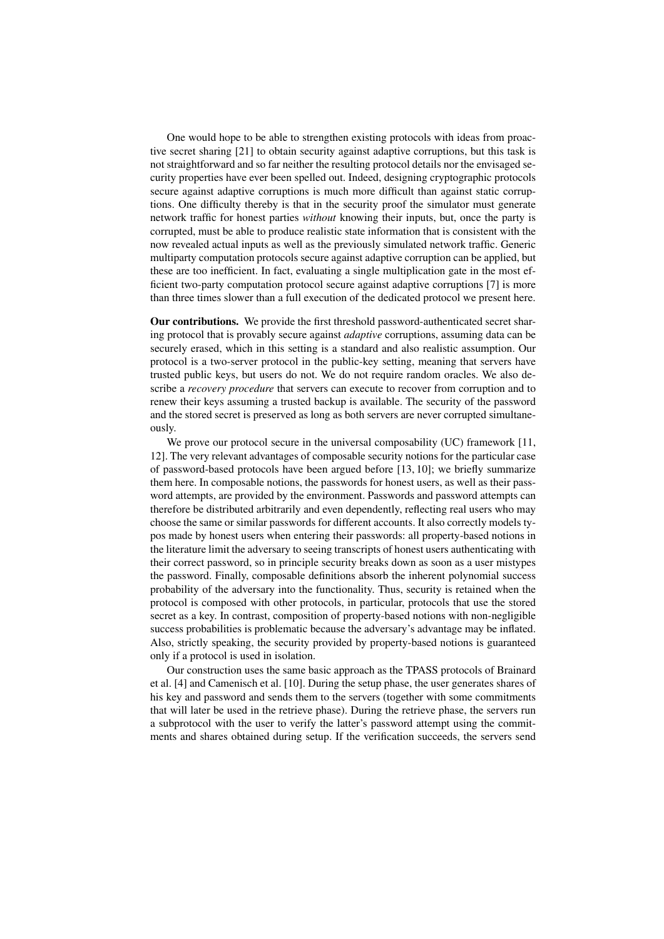One would hope to be able to strengthen existing protocols with ideas from proactive secret sharing [21] to obtain security against adaptive corruptions, but this task is not straightforward and so far neither the resulting protocol details nor the envisaged security properties have ever been spelled out. Indeed, designing cryptographic protocols secure against adaptive corruptions is much more difficult than against static corruptions. One difficulty thereby is that in the security proof the simulator must generate network traffic for honest parties *without* knowing their inputs, but, once the party is corrupted, must be able to produce realistic state information that is consistent with the now revealed actual inputs as well as the previously simulated network traffic. Generic multiparty computation protocols secure against adaptive corruption can be applied, but these are too inefficient. In fact, evaluating a single multiplication gate in the most efficient two-party computation protocol secure against adaptive corruptions [7] is more than three times slower than a full execution of the dedicated protocol we present here.

Our contributions. We provide the first threshold password-authenticated secret sharing protocol that is provably secure against *adaptive* corruptions, assuming data can be securely erased, which in this setting is a standard and also realistic assumption. Our protocol is a two-server protocol in the public-key setting, meaning that servers have trusted public keys, but users do not. We do not require random oracles. We also describe a *recovery procedure* that servers can execute to recover from corruption and to renew their keys assuming a trusted backup is available. The security of the password and the stored secret is preserved as long as both servers are never corrupted simultaneously.

We prove our protocol secure in the universal composability (UC) framework [11, 12]. The very relevant advantages of composable security notions for the particular case of password-based protocols have been argued before [13, 10]; we briefly summarize them here. In composable notions, the passwords for honest users, as well as their password attempts, are provided by the environment. Passwords and password attempts can therefore be distributed arbitrarily and even dependently, reflecting real users who may choose the same or similar passwords for different accounts. It also correctly models typos made by honest users when entering their passwords: all property-based notions in the literature limit the adversary to seeing transcripts of honest users authenticating with their correct password, so in principle security breaks down as soon as a user mistypes the password. Finally, composable definitions absorb the inherent polynomial success probability of the adversary into the functionality. Thus, security is retained when the protocol is composed with other protocols, in particular, protocols that use the stored secret as a key. In contrast, composition of property-based notions with non-negligible success probabilities is problematic because the adversary's advantage may be inflated. Also, strictly speaking, the security provided by property-based notions is guaranteed only if a protocol is used in isolation.

Our construction uses the same basic approach as the TPASS protocols of Brainard et al. [4] and Camenisch et al. [10]. During the setup phase, the user generates shares of his key and password and sends them to the servers (together with some commitments that will later be used in the retrieve phase). During the retrieve phase, the servers run a subprotocol with the user to verify the latter's password attempt using the commitments and shares obtained during setup. If the verification succeeds, the servers send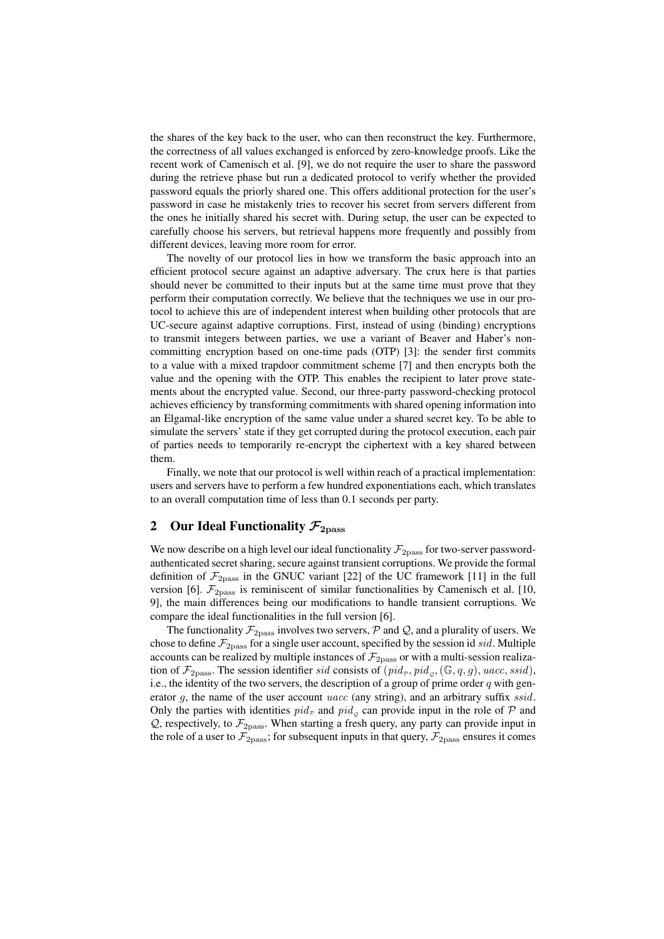the shares of the key back to the user, who can then reconstruct the key. Furthermore, the correctness of all values exchanged is enforced by zero-knowledge proofs. Like the recent work of Camenisch et al. [9], we do not require the user to share the password during the retrieve phase but run a dedicated protocol to verify whether the provided password equals the priorly shared one. This offers additional protection for the user's password in case he mistakenly tries to recover his secret from servers different from the ones he initially shared his secret with. During setup, the user can be expected to carefully choose his servers, but retrieval happens more frequently and possibly from different devices, leaving more room for error.

The novelty of our protocol lies in how we transform the basic approach into an efficient protocol secure against an adaptive adversary. The crux here is that parties should never be committed to their inputs but at the same time must prove that they perform their computation correctly. We believe that the techniques we use in our protocol to achieve this are of independent interest when building other protocols that are UC-secure against adaptive corruptions. First, instead of using (binding) encryptions to transmit integers between parties, we use a variant of Beaver and Haber's noncommitting encryption based on one-time pads (OTP) [3]: the sender first commits to a value with a mixed trapdoor commitment scheme [7] and then encrypts both the value and the opening with the OTP. This enables the recipient to later prove statements about the encrypted value. Second, our three-party password-checking protocol achieves efficiency by transforming commitments with shared opening information into an Elgamal-like encryption of the same value under a shared secret key. To be able to simulate the servers' state if they get corrupted during the protocol execution, each pair of parties needs to temporarily re-encrypt the ciphertext with a key shared between them.

Finally, we note that our protocol is well within reach of a practical implementation: users and servers have to perform a few hundred exponentiations each, which translates to an overall computation time of less than 0.1 seconds per party.

### 2 Our Ideal Functionality  $\mathcal{F}_{\text{2pass}}$

We now describe on a high level our ideal functionality  $\mathcal{F}_{2\text{pass}}$  for two-server passwordauthenticated secret sharing, secure against transient corruptions. We provide the formal definition of  $\mathcal{F}_{2\text{pass}}$  in the GNUC variant [22] of the UC framework [11] in the full version [6].  $\mathcal{F}_{2pass}$  is reminiscent of similar functionalities by Camenisch et al. [10, 9], the main differences being our modifications to handle transient corruptions. We compare the ideal functionalities in the full version [6].

The functionality  $\mathcal{F}_{2\text{pass}}$  involves two servers,  $\mathcal P$  and  $\mathcal Q$ , and a plurality of users. We chose to define  $\mathcal{F}_{2\text{pass}}$  for a single user account, specified by the session id sid. Multiple accounts can be realized by multiple instances of  $\mathcal{F}_{2\text{pass}}$  or with a multi-session realization of  $\mathcal{F}_{2\text{pass}}$ . The session identifier sid consists of  $(\text{pid}_p, \text{pid}_q, (\mathbb{G}, q, g), uacc, ssid)$ , i.e., the identity of the two servers, the description of a group of prime order  $q$  with generator  $g$ , the name of the user account *uacc* (any string), and an arbitrary suffix *ssid*. Only the parties with identities  $pid<sub>p</sub>$  and  $pid<sub>Q</sub>$  can provide input in the role of  $P$  and  $Q$ , respectively, to  $\mathcal{F}_{2\text{pass}}$ . When starting a fresh query, any party can provide input in the role of a user to  $\mathcal{F}_{2\text{pass}}$ ; for subsequent inputs in that query,  $\mathcal{F}_{2\text{pass}}$  ensures it comes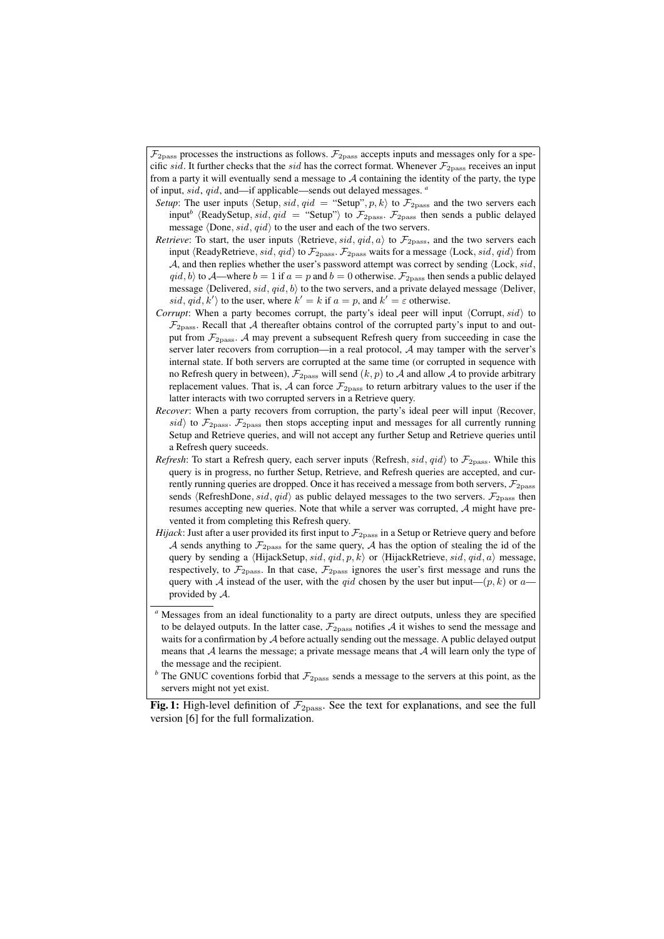$\mathcal{F}_{2\text{pass}}$  processes the instructions as follows.  $\mathcal{F}_{2\text{pass}}$  accepts inputs and messages only for a specific sid. It further checks that the sid has the correct format. Whenever  $\mathcal{F}_{2\text{pass}}$  receives an input from a party it will eventually send a message to  $A$  containing the identity of the party, the type of input, sid, qid, and—if applicable—sends out delayed messages. *<sup>a</sup>*

- *Setup*: The user inputs  $\langle$ Setup, sid, qid = "Setup", p, k) to  $\mathcal{F}_{2pass}$  and the two servers each input<sup>b</sup> (ReadySetup, sid, qid = "Setup") to  $\mathcal{F}_{2\text{pass}}$ .  $\mathcal{F}_{2\text{pass}}$  then sends a public delayed message  $\langle$ Done, sid, qid $\rangle$  to the user and each of the two servers.
- *Retrieve*: To start, the user inputs  $\langle$  *Retrieve*, sid, qid, a) to  $\mathcal{F}_{2pass}$ , and the two servers each input (ReadyRetrieve, sid, qid) to  $\mathcal{F}_{2pass}$ .  $\mathcal{F}_{2pass}$  waits for a message (Lock, sid, qid) from  $A$ , and then replies whether the user's password attempt was correct by sending  $\langle \text{Lock}, \text{sid} \rangle$  $qid, b$  to A—where  $b = 1$  if  $a = p$  and  $b = 0$  otherwise.  $\mathcal{F}_{2pass}$  then sends a public delayed message  $\langle$ Delivered, sid, qid, b $\rangle$  to the two servers, and a private delayed message  $\langle$ Deliver, sid, qid, k') to the user, where  $k' = k$  if  $a = p$ , and  $k' = \varepsilon$  otherwise.
- *Corrupt*: When a party becomes corrupt, the party's ideal peer will input  $\langle$  Corrupt,  $sid \rangle$  to  $\mathcal{F}_{2\text{pass}}$ . Recall that A thereafter obtains control of the corrupted party's input to and output from  $\mathcal{F}_{2\text{pass}}$ . A may prevent a subsequent Refresh query from succeeding in case the server later recovers from corruption—in a real protocol,  $A$  may tamper with the server's internal state. If both servers are corrupted at the same time (or corrupted in sequence with no Refresh query in between),  $\mathcal{F}_{2\text{pass}}$  will send  $(k, p)$  to  $\mathcal A$  and allow  $\mathcal A$  to provide arbitrary replacement values. That is, A can force  $\mathcal{F}_{2\text{pass}}$  to return arbitrary values to the user if the latter interacts with two corrupted servers in a Retrieve query.
- *Recover*: When a party recovers from corruption, the party's ideal peer will input (Recover,  $sid$ ) to  $\mathcal{F}_{2pass}$ .  $\mathcal{F}_{2pass}$  then stops accepting input and messages for all currently running Setup and Retrieve queries, and will not accept any further Setup and Retrieve queries until a Refresh query suceeds.
- *Refresh*: To start a Refresh query, each server inputs  $\langle$ Refresh, sid, qid $\rangle$  to  $\mathcal{F}_{2pass}$ . While this query is in progress, no further Setup, Retrieve, and Refresh queries are accepted, and currently running queries are dropped. Once it has received a message from both servers,  $\mathcal{F}_{2\text{pass}}$ sends  $\langle$ RefreshDone, sid, qid $\rangle$  as public delayed messages to the two servers.  $\mathcal{F}_{2pass}$  then resumes accepting new queries. Note that while a server was corrupted, A might have prevented it from completing this Refresh query.
- *Hijack*: Just after a user provided its first input to  $\mathcal{F}_{2pass}$  in a Setup or Retrieve query and before  $\mathcal A$  sends anything to  $\mathcal F_{\text{2pass}}$  for the same query,  $\mathcal A$  has the option of stealing the id of the query by sending a  $\langle$ HijackSetup, sid, qid, p, k $\rangle$  or  $\langle$ HijackRetrieve, sid, qid, a $\rangle$  message, respectively, to  $\mathcal{F}_{\text{2pass}}$ . In that case,  $\mathcal{F}_{\text{2pass}}$  ignores the user's first message and runs the query with A instead of the user, with the *qid* chosen by the user but input— $(p, k)$  or a– provided by A.

*<sup>a</sup>* Messages from an ideal functionality to a party are direct outputs, unless they are specified to be delayed outputs. In the latter case,  $\mathcal{F}_{2pass}$  notifies A it wishes to send the message and waits for a confirmation by A before actually sending out the message. A public delayed output means that  $A$  learns the message; a private message means that  $A$  will learn only the type of the message and the recipient.

<sup>&</sup>lt;sup>*b*</sup> The GNUC coventions forbid that  $\mathcal{F}_{2pass}$  sends a message to the servers at this point, as the servers might not yet exist.

Fig. 1: High-level definition of  $\mathcal{F}_{2pass}$ . See the text for explanations, and see the full version [6] for the full formalization.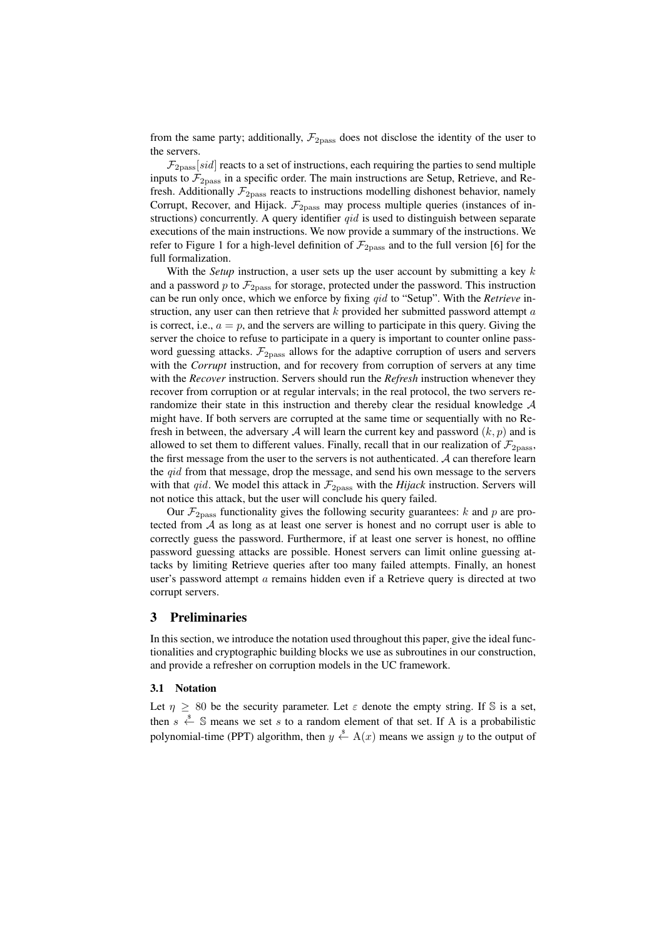from the same party; additionally,  $\mathcal{F}_{2\text{pass}}$  does not disclose the identity of the user to the servers.

 $\mathcal{F}_{2\text{pass}}[sid]$  reacts to a set of instructions, each requiring the parties to send multiple inputs to  $\mathcal{F}_{2\text{pass}}$  in a specific order. The main instructions are Setup, Retrieve, and Refresh. Additionally  $\mathcal{F}_{2\text{pass}}$  reacts to instructions modelling dishonest behavior, namely Corrupt, Recover, and Hijack.  $\mathcal{F}_{2\text{pass}}$  may process multiple queries (instances of instructions) concurrently. A query identifier  $qid$  is used to distinguish between separate executions of the main instructions. We now provide a summary of the instructions. We refer to Figure 1 for a high-level definition of  $\mathcal{F}_{2\text{pass}}$  and to the full version [6] for the full formalization.

With the *Setup* instruction, a user sets up the user account by submitting a key  $k$ and a password  $p$  to  $\mathcal{F}_{2\text{pass}}$  for storage, protected under the password. This instruction can be run only once, which we enforce by fixing qid to "Setup". With the *Retrieve* instruction, any user can then retrieve that  $k$  provided her submitted password attempt  $a$ is correct, i.e.,  $a = p$ , and the servers are willing to participate in this query. Giving the server the choice to refuse to participate in a query is important to counter online password guessing attacks.  $\mathcal{F}_{2p\text{ass}}$  allows for the adaptive corruption of users and servers with the *Corrupt* instruction, and for recovery from corruption of servers at any time with the *Recover* instruction. Servers should run the *Refresh* instruction whenever they recover from corruption or at regular intervals; in the real protocol, the two servers rerandomize their state in this instruction and thereby clear the residual knowledge  $A$ might have. If both servers are corrupted at the same time or sequentially with no Refresh in between, the adversary A will learn the current key and password  $(k, p)$  and is allowed to set them to different values. Finally, recall that in our realization of  $\mathcal{F}_{2\text{pass}}$ , the first message from the user to the servers is not authenticated. A can therefore learn the *qid* from that message, drop the message, and send his own message to the servers with that  $qid$ . We model this attack in  $\mathcal{F}_{2pass}$  with the *Hijack* instruction. Servers will not notice this attack, but the user will conclude his query failed.

Our  $\mathcal{F}_{2\text{pass}}$  functionality gives the following security guarantees: k and p are protected from A as long as at least one server is honest and no corrupt user is able to correctly guess the password. Furthermore, if at least one server is honest, no offline password guessing attacks are possible. Honest servers can limit online guessing attacks by limiting Retrieve queries after too many failed attempts. Finally, an honest user's password attempt  $a$  remains hidden even if a Retrieve query is directed at two corrupt servers.

# 3 Preliminaries

In this section, we introduce the notation used throughout this paper, give the ideal functionalities and cryptographic building blocks we use as subroutines in our construction, and provide a refresher on corruption models in the UC framework.

#### 3.1 Notation

Let  $\eta \geq 80$  be the security parameter. Let  $\varepsilon$  denote the empty string. If S is a set, then  $s \stackrel{\$}{\leftarrow}$  S means we set s to a random element of that set. If A is a probabilistic polynomial-time (PPT) algorithm, then  $y \stackrel{\$}{\leftarrow} A(x)$  means we assign y to the output of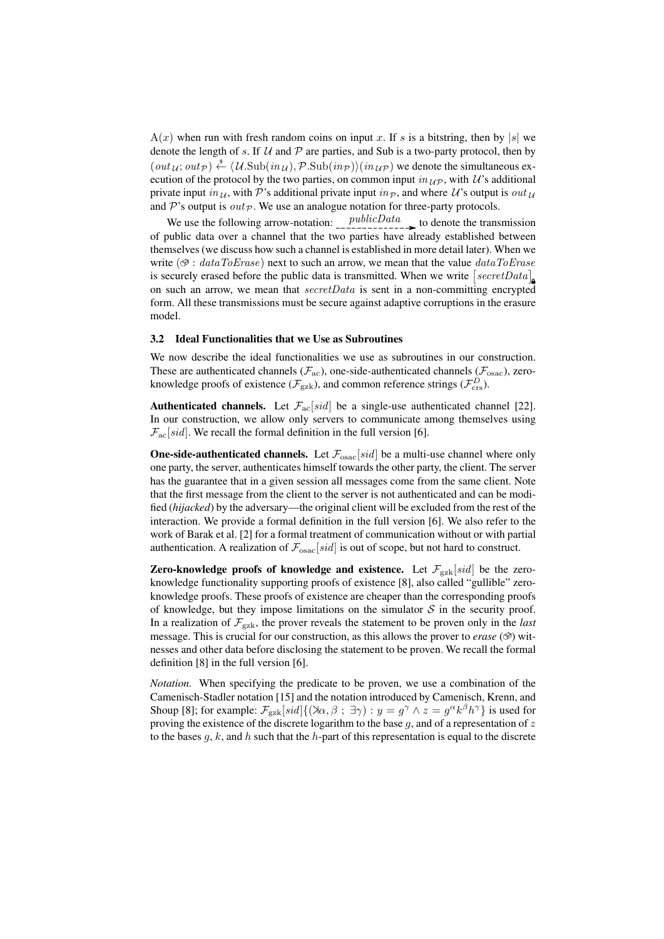$A(x)$  when run with fresh random coins on input x. If s is a bitstring, then by |s| we denote the length of s. If  $U$  and  $P$  are parties, and Sub is a two-party protocol, then by  $(out_{\mathcal{U}}; out_{\mathcal{P}}) \stackrel{\text{s}}{\leftarrow} \langle \mathcal{U}. \text{Sub}(in_{\mathcal{U}}), \mathcal{P}.\text{Sub}(in_{\mathcal{P}}) \rangle (in_{\mathcal{UP}})$  we denote the simultaneous execution of the protocol by the two parties, on common input  $in_{U\mathcal{P}}$ , with U's additional private input in  $\mu$ , with P's additional private input in  $\phi$ , and where U's output is out  $\mu$ and  $\mathcal{P}$ 's output is  $out_{\mathcal{P}}$ . We use an analogue notation for three-party protocols.

We use the following arrow-notation:  $\frac{publicData}{\qquad}$  to denote the transmission of public data over a channel that the two parties have already established between themselves (we discuss how such a channel is established in more detail later). When we write ( $\mathcal{D}$ : dataToErase) next to such an arrow, we mean that the value dataToErase is securely erased before the public data is transmitted. When we write  $[secretData]$ on such an arrow, we mean that secretData is sent in a non-committing encrypted form. All these transmissions must be secure against adaptive corruptions in the erasure model.

### 3.2 Ideal Functionalities that we Use as Subroutines

We now describe the ideal functionalities we use as subroutines in our construction. These are authenticated channels ( $\mathcal{F}_{ac}$ ), one-side-authenticated channels ( $\mathcal{F}_{osac}$ ), zeroknowledge proofs of existence ( $\mathcal{F}_{\text{gzk}}$ ), and common reference strings ( $\mathcal{F}_{\text{crs}}^D$ ).

**Authenticated channels.** Let  $\mathcal{F}_{ac}[sid]$  be a single-use authenticated channel [22]. In our construction, we allow only servers to communicate among themselves using  $\mathcal{F}_{\text{ac}}[sid]$ . We recall the formal definition in the full version [6].

**One-side-authenticated channels.** Let  $\mathcal{F}_{\text{osac}}[sid]$  be a multi-use channel where only one party, the server, authenticates himself towards the other party, the client. The server has the guarantee that in a given session all messages come from the same client. Note that the first message from the client to the server is not authenticated and can be modified (*hijacked*) by the adversary—the original client will be excluded from the rest of the interaction. We provide a formal definition in the full version [6]. We also refer to the work of Barak et al. [2] for a formal treatment of communication without or with partial authentication. A realization of  $\mathcal{F}_{\text{osac}}[sid]$  is out of scope, but not hard to construct.

**Zero-knowledge proofs of knowledge and existence.** Let  $\mathcal{F}_{\text{gzk}}[sid]$  be the zeroknowledge functionality supporting proofs of existence [8], also called "gullible" zeroknowledge proofs. These proofs of existence are cheaper than the corresponding proofs of knowledge, but they impose limitations on the simulator  $S$  in the security proof. In a realization of  $\mathcal{F}_{\text{gzk}}$ , the prover reveals the statement to be proven only in the *last* message. This is crucial for our construction, as this allows the prover to *erase*  $(\mathcal{D})$  witnesses and other data before disclosing the statement to be proven. We recall the formal definition [8] in the full version [6].

*Notation.* When specifying the predicate to be proven, we use a combination of the Camenisch-Stadler notation [15] and the notation introduced by Camenisch, Krenn, and Shoup [8]; for example:  $\mathcal{F}_{gzk}[sid]\{(\lambda\alpha,\beta;\exists\gamma): y = g^\gamma \wedge z = g^\alpha k^\beta h^\gamma\}$  is used for proving the existence of the discrete logarithm to the base  $g$ , and of a representation of  $z$ to the bases  $g, k$ , and  $h$  such that the  $h$ -part of this representation is equal to the discrete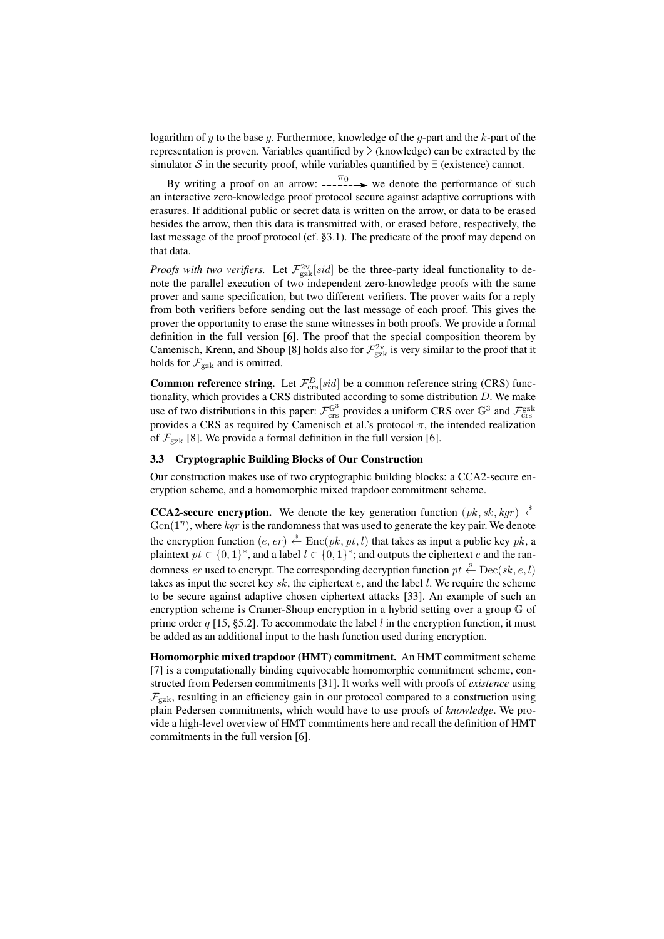logarithm of y to the base q. Furthermore, knowledge of the q-part and the k-part of the representation is proven. Variables quantified by  $\lambda$  (knowledge) can be extracted by the simulator S in the security proof, while variables quantified by  $\exists$  (existence) cannot.

By writing a proof on an arrow:  $-\frac{\pi_0}{\pi_0}$  we denote the performance of such an interactive zero-knowledge proof protocol secure against adaptive corruptions with erasures. If additional public or secret data is written on the arrow, or data to be erased besides the arrow, then this data is transmitted with, or erased before, respectively, the last message of the proof protocol (cf. §3.1). The predicate of the proof may depend on that data.

*Proofs with two verifiers.* Let  $\mathcal{F}_{\rm gzk}^{2v}[sid]$  be the three-party ideal functionality to denote the parallel execution of two independent zero-knowledge proofs with the same prover and same specification, but two different verifiers. The prover waits for a reply from both verifiers before sending out the last message of each proof. This gives the prover the opportunity to erase the same witnesses in both proofs. We provide a formal definition in the full version [6]. The proof that the special composition theorem by Camenisch, Krenn, and Shoup [8] holds also for  $\mathcal{F}_{\rm gzk}^{2v}$  is very similar to the proof that it holds for  $\mathcal{F}_{\text{gzk}}$  and is omitted.

**Common reference string.** Let  $\mathcal{F}_{\text{crs}}^D[\text{sid}]$  be a common reference string (CRS) functionality, which provides a CRS distributed according to some distribution  $D$ . We make use of two distributions in this paper:  $\mathcal{F}_{\text{crs}}^{\mathbb{G}^3}$  provides a uniform CRS over  $\mathbb{G}^3$  and  $\mathcal{F}_{\text{crs}}^{\text{gzk}}$ provides a CRS as required by Camenisch et al.'s protocol  $\pi$ , the intended realization of  $\mathcal{F}_{\text{ezk}}$  [8]. We provide a formal definition in the full version [6].

#### 3.3 Cryptographic Building Blocks of Our Construction

Our construction makes use of two cryptographic building blocks: a CCA2-secure encryption scheme, and a homomorphic mixed trapdoor commitment scheme.

**CCA2-secure encryption.** We denote the key generation function  $(pk, sk, kgr) \stackrel{\$}{\leftarrow}$  $Gen(1<sup>*n*</sup>)$ , where *kgr* is the randomness that was used to generate the key pair. We denote the encryption function  $(e, er) \stackrel{\text{*}}{\leftarrow} \text{Enc}(pk, pt, l)$  that takes as input a public key  $pk$ , a plaintext  $pt \in \{0,1\}^*$ , and a label  $l \in \{0,1\}^*$ ; and outputs the ciphertext e and the randomness er used to encrypt. The corresponding decryption function  $pt \overset{\$}{\leftarrow}$  Dec(sk, e, l) takes as input the secret key  $sk$ , the ciphertext  $e$ , and the label  $l$ . We require the scheme to be secure against adaptive chosen ciphertext attacks [33]. An example of such an encryption scheme is Cramer-Shoup encryption in a hybrid setting over a group  $\mathbb{G}$  of prime order  $q$  [15, §5.2]. To accommodate the label  $l$  in the encryption function, it must be added as an additional input to the hash function used during encryption.

Homomorphic mixed trapdoor (HMT) commitment. An HMT commitment scheme [7] is a computationally binding equivocable homomorphic commitment scheme, constructed from Pedersen commitments [31]. It works well with proofs of *existence* using  $\mathcal{F}_{gzk}$ , resulting in an efficiency gain in our protocol compared to a construction using plain Pedersen commitments, which would have to use proofs of *knowledge*. We provide a high-level overview of HMT commtiments here and recall the definition of HMT commitments in the full version [6].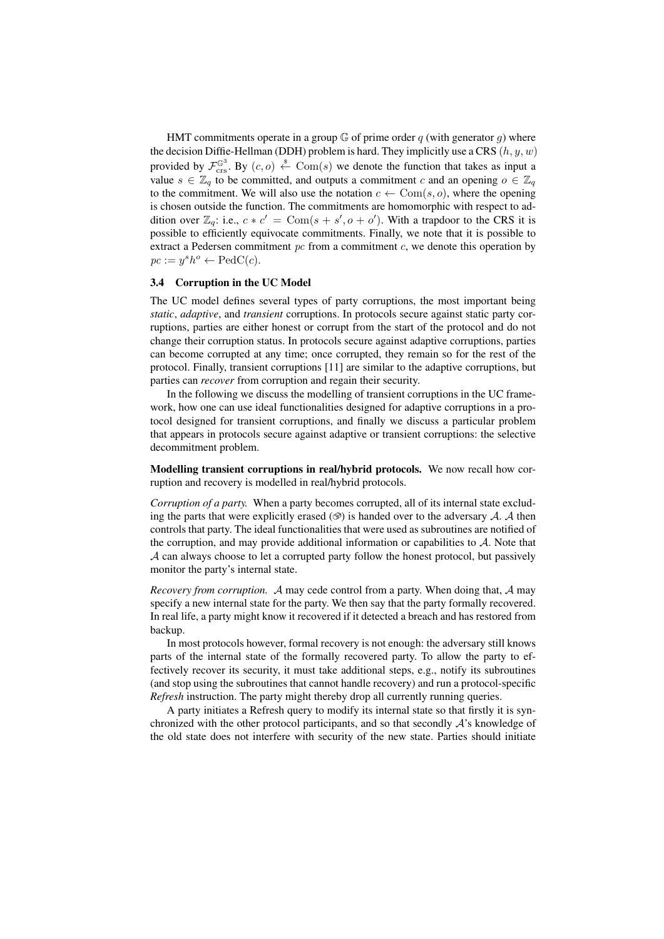HMT commitments operate in a group  $\mathbb G$  of prime order q (with generator q) where the decision Diffie-Hellman (DDH) problem is hard. They implicitly use a CRS  $(h, y, w)$ provided by  $\mathcal{F}_{\text{crs}}^{\mathbb{G}^3}$ . By  $(c, o) \stackrel{\$}{\leftarrow} \text{Com}(s)$  we denote the function that takes as input a value  $s \in \mathbb{Z}_q$  to be committed, and outputs a commitment c and an opening  $o \in \mathbb{Z}_q$ to the commitment. We will also use the notation  $c \leftarrow \text{Com}(s, o)$ , where the opening is chosen outside the function. The commitments are homomorphic with respect to addition over  $\mathbb{Z}_q$ : i.e.,  $c * c' = \text{Com}(s + s', o + o')$ . With a trapdoor to the CRS it is possible to efficiently equivocate commitments. Finally, we note that it is possible to extract a Pedersen commitment  $pc$  from a commitment c, we denote this operation by  $pc := y^s h^o \leftarrow \text{PedC}(c).$ 

### 3.4 Corruption in the UC Model

The UC model defines several types of party corruptions, the most important being *static*, *adaptive*, and *transient* corruptions. In protocols secure against static party corruptions, parties are either honest or corrupt from the start of the protocol and do not change their corruption status. In protocols secure against adaptive corruptions, parties can become corrupted at any time; once corrupted, they remain so for the rest of the protocol. Finally, transient corruptions [11] are similar to the adaptive corruptions, but parties can *recover* from corruption and regain their security.

In the following we discuss the modelling of transient corruptions in the UC framework, how one can use ideal functionalities designed for adaptive corruptions in a protocol designed for transient corruptions, and finally we discuss a particular problem that appears in protocols secure against adaptive or transient corruptions: the selective decommitment problem.

Modelling transient corruptions in real/hybrid protocols. We now recall how corruption and recovery is modelled in real/hybrid protocols.

*Corruption of a party.* When a party becomes corrupted, all of its internal state excluding the parts that were explicitly erased  $(\mathcal{D})$  is handed over to the adversary A. A then controls that party. The ideal functionalities that were used as subroutines are notified of the corruption, and may provide additional information or capabilities to  $A$ . Note that A can always choose to let a corrupted party follow the honest protocol, but passively monitor the party's internal state.

*Recovery from corruption.* A may cede control from a party. When doing that, A may specify a new internal state for the party. We then say that the party formally recovered. In real life, a party might know it recovered if it detected a breach and has restored from backup.

In most protocols however, formal recovery is not enough: the adversary still knows parts of the internal state of the formally recovered party. To allow the party to effectively recover its security, it must take additional steps, e.g., notify its subroutines (and stop using the subroutines that cannot handle recovery) and run a protocol-specific *Refresh* instruction. The party might thereby drop all currently running queries.

A party initiates a Refresh query to modify its internal state so that firstly it is synchronized with the other protocol participants, and so that secondly  $A$ 's knowledge of the old state does not interfere with security of the new state. Parties should initiate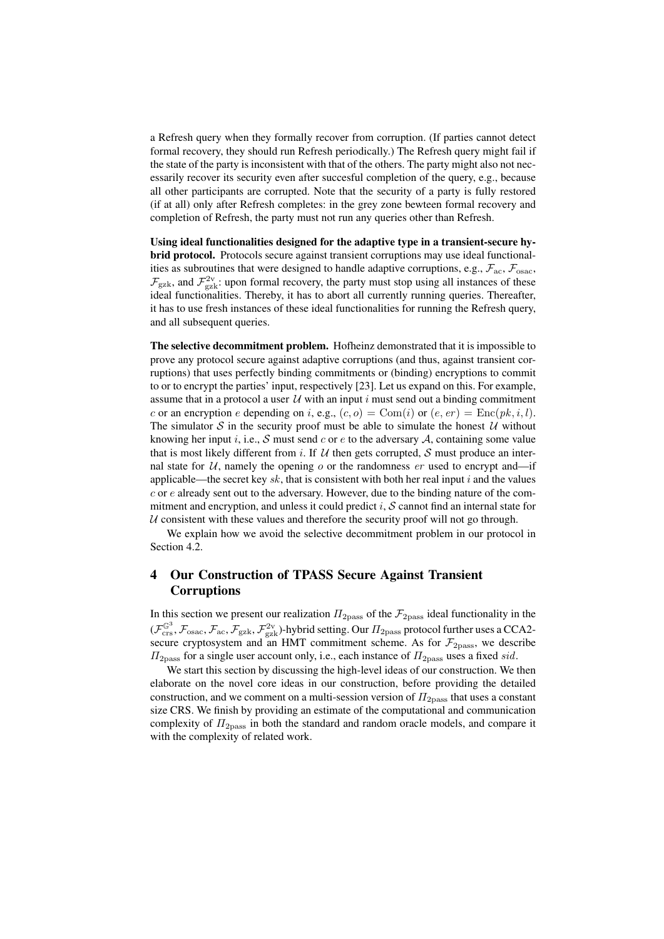a Refresh query when they formally recover from corruption. (If parties cannot detect formal recovery, they should run Refresh periodically.) The Refresh query might fail if the state of the party is inconsistent with that of the others. The party might also not necessarily recover its security even after succesful completion of the query, e.g., because all other participants are corrupted. Note that the security of a party is fully restored (if at all) only after Refresh completes: in the grey zone bewteen formal recovery and completion of Refresh, the party must not run any queries other than Refresh.

Using ideal functionalities designed for the adaptive type in a transient-secure hybrid protocol. Protocols secure against transient corruptions may use ideal functionalities as subroutines that were designed to handle adaptive corruptions, e.g.,  $\mathcal{F}_{\text{ac}}$ ,  $\mathcal{F}_{\text{osac}}$ ,  $\mathcal{F}_{\text{gzk}}$ , and  $\mathcal{F}_{\text{gzk}}^{2v}$ : upon formal recovery, the party must stop using all instances of these ideal functionalities. Thereby, it has to abort all currently running queries. Thereafter, it has to use fresh instances of these ideal functionalities for running the Refresh query, and all subsequent queries.

The selective decommitment problem. Hofheinz demonstrated that it is impossible to prove any protocol secure against adaptive corruptions (and thus, against transient corruptions) that uses perfectly binding commitments or (binding) encryptions to commit to or to encrypt the parties' input, respectively [23]. Let us expand on this. For example, assume that in a protocol a user  $U$  with an input i must send out a binding commitment c or an encryption e depending on i, e.g.,  $(c, o) = \text{Com}(i)$  or  $(e, er) = \text{Enc}(pk, i, l)$ . The simulator S in the security proof must be able to simulate the honest U without knowing her input i, i.e.,  $S$  must send  $c$  or  $e$  to the adversary  $A$ , containing some value that is most likely different from i. If U then gets corrupted, S must produce an internal state for U, namely the opening o or the randomness er used to encrypt and—if applicable—the secret key  $sk$ , that is consistent with both her real input i and the values  $c$  or  $e$  already sent out to the adversary. However, due to the binding nature of the commitment and encryption, and unless it could predict  $i$ ,  $S$  cannot find an internal state for  $U$  consistent with these values and therefore the security proof will not go through.

We explain how we avoid the selective decommitment problem in our protocol in Section 4.2.

# 4 Our Construction of TPASS Secure Against Transient **Corruptions**

In this section we present our realization  $\Pi_{\text{2pass}}$  of the  $\mathcal{F}_{\text{2pass}}$  ideal functionality in the  $(\mathcal{F}_{\rm crs}^{\mathbb{G}^3},\mathcal{F}_{\rm osac},\mathcal{F}_{\rm ac},\mathcal{F}_{\rm gzk},\mathcal{F}_{\rm gzk}^{2v})$ -hybrid setting. Our  $\Pi_{\rm 2pass}$  protocol further uses a CCA2secure cryptosystem and an HMT commitment scheme. As for  $\mathcal{F}_{2\text{pass}}$ , we describe  $\Pi_{2\text{pass}}$  for a single user account only, i.e., each instance of  $\Pi_{2\text{pass}}$  uses a fixed sid.

We start this section by discussing the high-level ideas of our construction. We then elaborate on the novel core ideas in our construction, before providing the detailed construction, and we comment on a multi-session version of  $\Pi_{2\text{pass}}$  that uses a constant size CRS. We finish by providing an estimate of the computational and communication complexity of  $\Pi_{\text{2pass}}$  in both the standard and random oracle models, and compare it with the complexity of related work.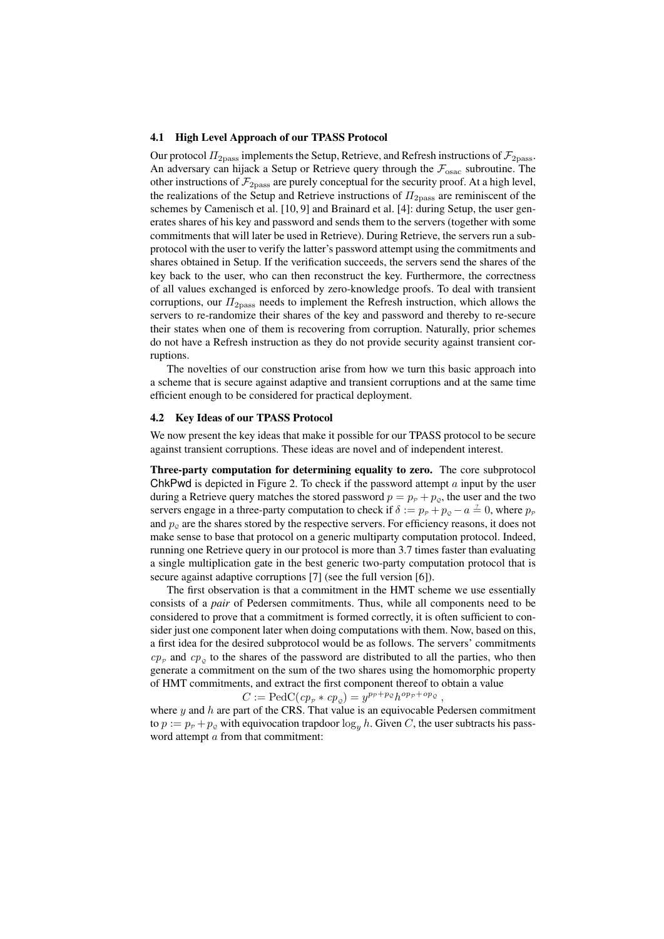#### 4.1 High Level Approach of our TPASS Protocol

Our protocol  $\Pi_{2\text{pass}}$  implements the Setup, Retrieve, and Refresh instructions of  $\mathcal{F}_{2\text{pass}}$ . An adversary can hijack a Setup or Retrieve query through the  $\mathcal{F}_{\text{osac}}$  subroutine. The other instructions of  $\mathcal{F}_{2\text{pass}}$  are purely conceptual for the security proof. At a high level, the realizations of the Setup and Retrieve instructions of  $\Pi_{2\text{pass}}$  are reminiscent of the schemes by Camenisch et al. [10, 9] and Brainard et al. [4]: during Setup, the user generates shares of his key and password and sends them to the servers (together with some commitments that will later be used in Retrieve). During Retrieve, the servers run a subprotocol with the user to verify the latter's password attempt using the commitments and shares obtained in Setup. If the verification succeeds, the servers send the shares of the key back to the user, who can then reconstruct the key. Furthermore, the correctness of all values exchanged is enforced by zero-knowledge proofs. To deal with transient corruptions, our  $\Pi_{\text{2pass}}$  needs to implement the Refresh instruction, which allows the servers to re-randomize their shares of the key and password and thereby to re-secure their states when one of them is recovering from corruption. Naturally, prior schemes do not have a Refresh instruction as they do not provide security against transient corruptions.

The novelties of our construction arise from how we turn this basic approach into a scheme that is secure against adaptive and transient corruptions and at the same time efficient enough to be considered for practical deployment.

#### 4.2 Key Ideas of our TPASS Protocol

We now present the key ideas that make it possible for our TPASS protocol to be secure against transient corruptions. These ideas are novel and of independent interest.

Three-party computation for determining equality to zero. The core subprotocol ChkPwd is depicted in Figure 2. To check if the password attempt  $\alpha$  input by the user during a Retrieve query matches the stored password  $p = p_p + p_q$ , the user and the two servers engage in a three-party computation to check if  $\delta := p_p + p_q - a \stackrel{?}{=} 0$ , where  $p_p$ and  $p<sub>o</sub>$  are the shares stored by the respective servers. For efficiency reasons, it does not make sense to base that protocol on a generic multiparty computation protocol. Indeed, running one Retrieve query in our protocol is more than 3.7 times faster than evaluating a single multiplication gate in the best generic two-party computation protocol that is secure against adaptive corruptions [7] (see the full version [6]).

The first observation is that a commitment in the HMT scheme we use essentially consists of a *pair* of Pedersen commitments. Thus, while all components need to be considered to prove that a commitment is formed correctly, it is often sufficient to consider just one component later when doing computations with them. Now, based on this, a first idea for the desired subprotocol would be as follows. The servers' commitments  $cp<sub>p</sub>$  and  $cp<sub>Q</sub>$  to the shares of the password are distributed to all the parties, who then generate a commitment on the sum of the two shares using the homomorphic property of HMT commitments, and extract the first component thereof to obtain a value

 $C := \text{PedC}(cp_p * cp_q) = y^{pp + p_Q}h^{op_p + op_q}$ ,

where  $y$  and  $h$  are part of the CRS. That value is an equivocable Pedersen commitment to  $p := p_p + p_q$  with equivocation trapdoor  $\log_q h$ . Given C, the user subtracts his password attempt  $a$  from that commitment: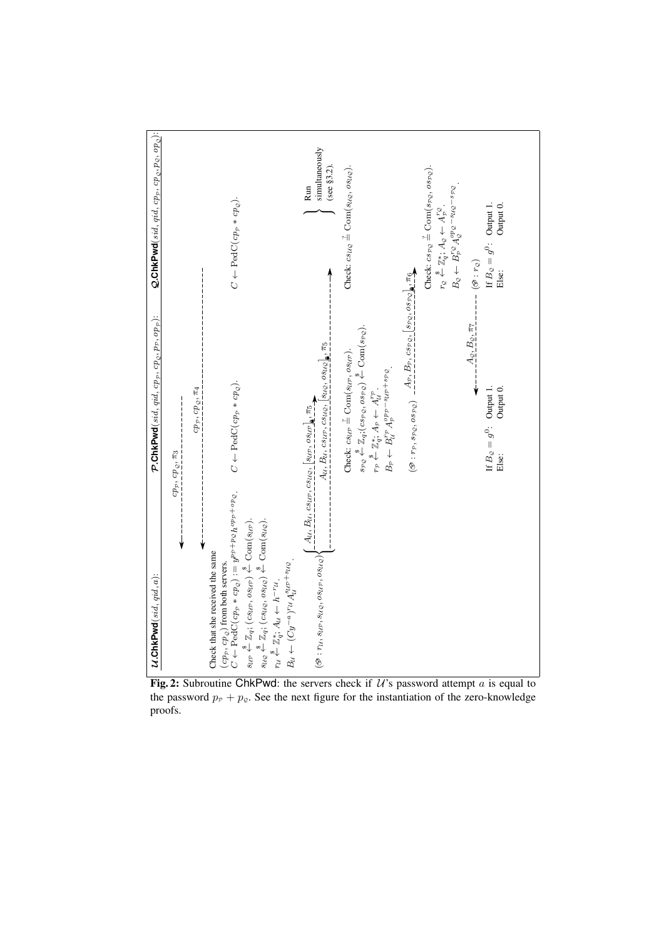

Fig. 2: Subroutine ChkPwd: the servers check if  $U$ 's password attempt a is equal to the password  $p_p + p_q$ . See the next figure for the instantiation of the zero-knowledge proofs.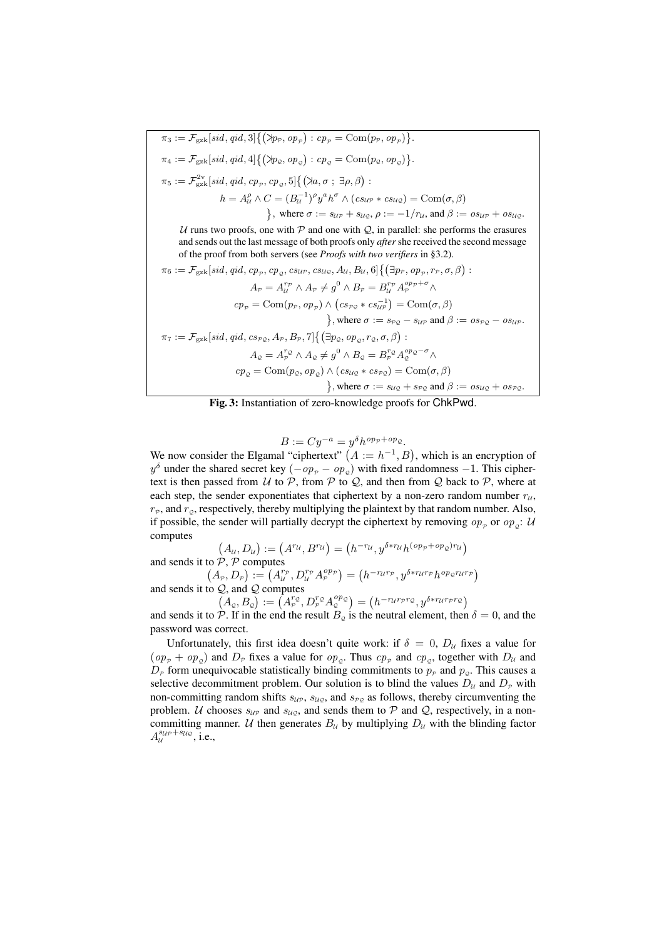$\pi_3 := \mathcal{F}_{\rm gzk}[sid, qid, 3]\big\{\big(\lambda p_{\mathcal{P}}, op_{\mathcal{P}}\big): cp_{\mathcal{P}} = \mathrm{Com}(p_{\mathcal{P}}, op_{\mathcal{P}})\big\}.$  $\pi_4 := \mathcal{F}_{\rm gzk}[sid, qid, 4] \big\{ \big(\lambda p_{\mathcal{Q}}, op_{\mathcal{Q}}\big) : cp_{\mathcal{Q}} = \mathrm{Com}(p_{\mathcal{Q}}, op_{\mathcal{Q}}) \big\}.$  $\pi_5 := \mathcal{F}_{\rm gzk}^{2{\rm v}}[sid, qid, cp_p, cp_{\mathcal{Q}}, 5] \big\{ \big(\lambda a, \sigma \; ; \; \exists \rho, \beta \big) \; : \;$  $h = A_{\mathcal{U}}^{\rho} \wedge C = (B_{\mathcal{U}}^{-1})^{\rho} y^{\alpha} h^{\sigma} \wedge (c s_{\mathcal{U}\mathcal{P}} * c s_{\mathcal{U}\mathcal{Q}}) = \text{Com}(\sigma, \beta)$  $\},$  where  $\sigma := s_{U\mathcal{P}} + s_{U\mathcal{Q}}, \rho := -1/r_U$ , and  $\beta := os_{U\mathcal{P}} + os_{U\mathcal{Q}}$ . U runs two proofs, one with  $P$  and one with  $Q$ , in parallel: she performs the erasures and sends out the last message of both proofs only *after* she received the second message of the proof from both servers (see *Proofs with two verifiers* in §3.2).  $\pi_6:=\mathcal{F}_{\rm gzk}[sid,qid,cp_{\scriptscriptstyle\mathcal{P}},cp_{\scriptscriptstyle\mathcal{Q}},c s_{\mathcal{UP}},c s_{\mathcal{U}\mathcal{Q}},A_{\mathcal{U}},B_{\mathcal{U}},6]\big\{\big(\exists p_{\scriptscriptstyle\mathcal{P}},o p_{\scriptscriptstyle\mathcal{P}},r_{\scriptscriptstyle\mathcal{P}},\sigma,\beta\big):\,\,$  $A_{\mathcal{P}} = A_{\mathcal{U}}^{r_{\mathcal{P}}} \wedge A_{\mathcal{P}} \neq g^0 \wedge B_{\mathcal{P}} = B_{\mathcal{U}}^{r_{\mathcal{P}}} A_{\mathcal{P}}^{op_{\mathcal{P}}} + \sigma} \wedge$  $cp_{\mathcal{P}} = \text{Com}(p_{\mathcal{P}}, op_{\mathcal{P}}) \wedge (cs_{\mathcal{PQ}} * cs_{\mathcal{UP}}^{-1}) = \text{Com}(\sigma, \beta)$  $\},$  where  $\sigma := s_{PQ} - s_{UP}$  and  $\beta := os_{PQ} - os_{UP}$ .  $\pi_7 := \mathcal{F}_{\rm gzk}[sid,qid, cs_{\mathcal{P} \mathcal{Q}}, A_{\mathcal{P}}, B_{\mathcal{P}}, 7] \big\{ \big(\exists p_\mathcal{Q}, op_\mathcal{Q}, r_\mathcal{Q}, \sigma, \beta \big):$  $A_{\mathcal{Q}} = A_{\mathcal{P}}^{r_{\mathcal{Q}}} \wedge A_{\mathcal{Q}} \neq g^0 \wedge B_{\mathcal{Q}} = B_{\mathcal{P}}^{r_{\mathcal{Q}}} A_{\mathcal{Q}}^{op_{\mathcal{Q}} - \sigma} \wedge$  $cp_{\mathcal{Q}} = \text{Com}(p_{\mathcal{Q}}, op_{\mathcal{Q}}) \wedge (cs_{\mathcal{U}\mathcal{Q}} * cs_{\mathcal{P}\mathcal{Q}}) = \text{Com}(\sigma, \beta)$  $\},$  where  $\sigma := s_{uQ} + s_{PQ}$  and  $\beta := os_{uQ} + os_{PQ}$ .

Fig. 3: Instantiation of zero-knowledge proofs for ChkPwd.

# $B := Cy^{-a} = y^{\delta}h^{op_p + op_{\mathcal{Q}}}$ .

We now consider the Elgamal "ciphertext"  $(A := h^{-1}, B)$ , which is an encryption of  $y^{\delta}$  under the shared secret key  $(-op_{\mathcal{P}} - op_{\mathcal{Q}})$  with fixed randomness  $-1$ . This ciphertext is then passed from  $U$  to  $P$ , from  $P$  to  $Q$ , and then from  $Q$  back to  $P$ , where at each step, the sender exponentiates that ciphertext by a non-zero random number  $r_{\mathcal{U}}$ ,  $r_p$ , and  $r_\text{o}$ , respectively, thereby multiplying the plaintext by that random number. Also, if possible, the sender will partially decrypt the ciphertext by removing  $op_{\mathcal{P}}$  or  $op_{\mathcal{Q}}$ : U computes

$$
(A_{\mathcal{U}}, D_{\mathcal{U}}) := (A^{r\mathcal{U}}, B^{r\mathcal{U}}) = (h^{-r\mathcal{U}}, y^{\delta * r\mathcal{U}} h^{(op_p + op_{\mathcal{Q}}) r\mathcal{U}})
$$
  
and sends it to  $\mathcal{P}, \mathcal{P}$  computes  

$$
(A_p, D_p) := (A_{\mathcal{U}}^{r_p}, D_{\mathcal{U}}^{r_p} A_p^{op_p}) = (h^{-r_{\mathcal{U}} r_p}, y^{\delta * r_{\mathcal{U}} r_p} h^{op_{\mathcal{Q}} r_{\mathcal{U}} r_p})
$$

and sends it to  $Q$ , and  $Q$  computes

 $(A_{\mathcal{Q}}, B_{\mathcal{Q}}) := (A_{\mathcal{P}}^{r_{\mathcal{Q}}}, D_{\mathcal{P}}^{r_{\mathcal{Q}}} A_{\mathcal{Q}}^{op_{\mathcal{Q}}}) = (h^{-r_{\mathcal{U}} r_{\mathcal{P}} r_{\mathcal{Q}}}, y^{\delta * r_{\mathcal{U}} r_{\mathcal{P}} r_{\mathcal{Q}}})$ and sends it to  $\hat{\mathcal{P}}$ . If in the end the result  $B_{\varphi}$  is the neutral element, then  $\delta = 0$ , and the

password was correct.

Unfortunately, this first idea doesn't quite work: if  $\delta = 0$ ,  $D_u$  fixes a value for  $(op_p + op_q)$  and  $D_p$  fixes a value for  $op_q$ . Thus  $cp_p$  and  $cp_q$ , together with  $D_u$  and  $D<sub>p</sub>$  form unequivocable statistically binding commitments to  $p<sub>p</sub>$  and  $p<sub>Q</sub>$ . This causes a selective decommitment problem. Our solution is to blind the values  $D_u$  and  $D_p$  with non-committing random shifts  $s_{U_P}$ ,  $s_{U_Q}$ , and  $s_{PQ}$  as follows, thereby circumventing the problem. U chooses  $s_{UP}$  and  $s_{UQ}$ , and sends them to P and Q, respectively, in a noncommitting manner. U then generates  $B_u$  by multiplying  $D_u$  with the blinding factor  $A_{\mathcal{U}}^{sup+sup}$ , i.e.,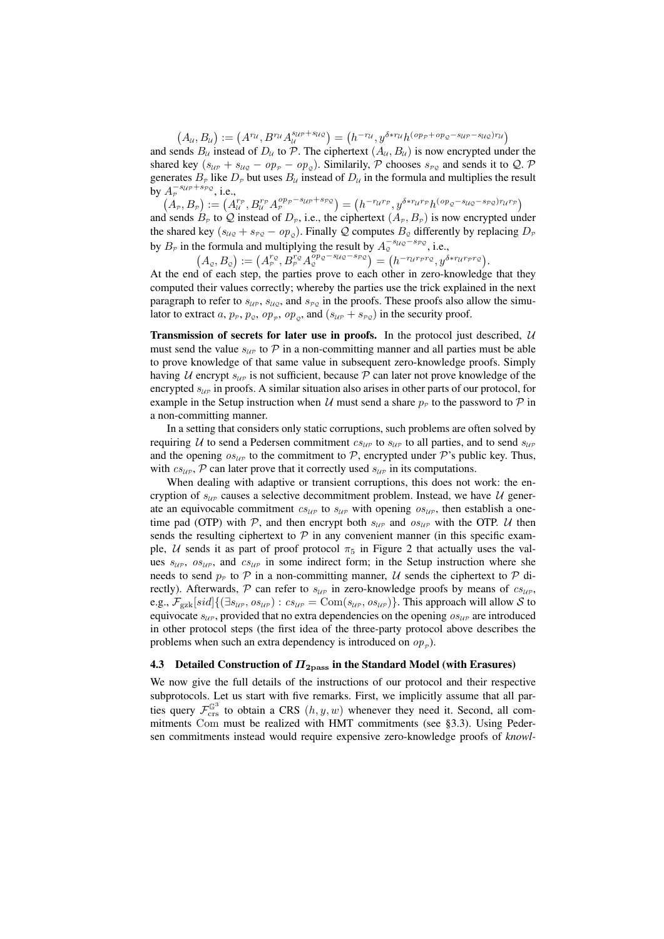$(A_{\mathcal{U}}, B_{\mathcal{U}}) := (A^{r_{\mathcal{U}}}, B^{r_{\mathcal{U}}} A_{\mathcal{U}}^{s_{\mathcal{U}} p + s_{\mathcal{U} \mathcal{Q}}}) = (h^{-r_{\mathcal{U}}}, y^{\delta * r_{\mathcal{U}}} h^{(op_p + op_q - s_{\mathcal{U} P} - s_{\mathcal{U} \mathcal{Q}}) r_{\mathcal{U}}})$ and sends  $B_u$  instead of  $D_u$  to P. The ciphertext  $(A_u, B_u)$  is now encrypted under the shared key  $(s_{UP} + s_{UQ} - op_p - op_Q)$ . Similarily, P chooses  $s_{PQ}$  and sends it to Q. P generates  $B_p$  like  $D_p$  but uses  $B_u$  instead of  $D_u$  in the formula and multiplies the result by  $A_p^{-s_{\mathcal{UP}}+s_{\mathcal{PQ}}},$  i.e.,

 $(A_p, B_p) := (A_{\mathcal{U}}^{r_p}, B_{\mathcal{U}}^{r_p} A_p^{\mathfrak{op}_{p-s\mathcal{U}^p}+s_{\mathcal{P}^Q}}) = (h^{-r_{\mathcal{U}}r_p}, y^{\delta*r_{\mathcal{U}}r_p} h^{(\mathfrak{op}_{\mathcal{Q}}-s_{\mathcal{U}^Q}-s_{\mathcal{P}^Q})r_{\mathcal{U}}r_p})$ and sends  $B_p$  to Q instead of  $D_p$ , i.e., the ciphertext  $(A_p, B_p)$  is now encrypted under the shared key  $(s_{uQ} + s_{PQ} - op_Q)$ . Finally Q computes  $B_Q$  differently by replacing  $D_P$ by  $B_p$  in the formula and multiplying the result by  $A_q^{-s_{UQ}-s_{PQ}}$ , i.e.,

 $(A_{\mathcal{Q}}, B_{\mathcal{Q}}) := (A_{\mathcal{P}}^{r_{\mathcal{Q}}}, B_{\mathcal{P}}^{r_{\mathcal{Q}}} A_{\mathcal{Q}}^{op_{\mathcal{Q}} - sp_{\mathcal{Q}}}) = (h^{-r_{\mathcal{U}}r_{\mathcal{P}}r_{\mathcal{Q}}}, y^{\delta * r_{\mathcal{U}}r_{\mathcal{P}}r_{\mathcal{Q}}}).$ 

At the end of each step, the parties prove to each other in zero-knowledge that they computed their values correctly; whereby the parties use the trick explained in the next paragraph to refer to  $s_{UP}$ ,  $s_{UQ}$ , and  $s_{PQ}$  in the proofs. These proofs also allow the simulator to extract a,  $p_p$ ,  $p_\varrho$ ,  $op_\varrho$ ,  $op_\varrho$ , and  $(s_{\mu p} + s_{\varrho \varrho})$  in the security proof.

Transmission of secrets for later use in proofs. In the protocol just described,  $U$ must send the value  $s_{UP}$  to  $\mathcal P$  in a non-committing manner and all parties must be able to prove knowledge of that same value in subsequent zero-knowledge proofs. Simply having U encrypt  $s_{UP}$  is not sufficient, because P can later not prove knowledge of the encrypted  $s_{\mu\nu}$  in proofs. A similar situation also arises in other parts of our protocol, for example in the Setup instruction when U must send a share  $p<sub>p</sub>$  to the password to P in a non-committing manner.

In a setting that considers only static corruptions, such problems are often solved by requiring U to send a Pedersen commitment  $cs_{\text{UP}}$  to  $s_{\text{UP}}$  to all parties, and to send  $s_{\text{UP}}$ and the opening  $os_{UP}$  to the commitment to  $P$ , encrypted under  $P$ 's public key. Thus, with  $cs_{\mu P}$ ,  $\mathcal P$  can later prove that it correctly used  $s_{\mu P}$  in its computations.

When dealing with adaptive or transient corruptions, this does not work: the encryption of  $s_{UP}$  causes a selective decommitment problem. Instead, we have U generate an equivocable commitment  $cs_{U\text{P}}$  to  $s_{U\text{P}}$  with opening  $os_{U\text{P}}$ , then establish a onetime pad (OTP) with  $P$ , and then encrypt both  $s_{UP}$  and  $os_{UP}$  with the OTP. U then sends the resulting ciphertext to  $P$  in any convenient manner (in this specific example, U sends it as part of proof protocol  $\pi_5$  in Figure 2 that actually uses the values  $s_{U\mathcal{P}}$ ,  $os_{U\mathcal{P}}$ , and  $cs_{U\mathcal{P}}$  in some indirect form; in the Setup instruction where she needs to send  $p_p$  to  $P$  in a non-committing manner, U sends the ciphertext to  $P$  directly). Afterwards,  $P$  can refer to  $s_{UP}$  in zero-knowledge proofs by means of  $cs_{UP}$ , e.g.,  $\mathcal{F}_{\text{gzk}}[sid]\{(\exists s_{\mathcal{UP}}, \text{os}_{\mathcal{UP}}): cs_{\mathcal{UP}} = \text{Com}(s_{\mathcal{UP}}, \text{os}_{\mathcal{UP}})\}$ . This approach will allow S to equivocate  $s_{\mu p}$ , provided that no extra dependencies on the opening  $\delta s_{\mu p}$  are introduced in other protocol steps (the first idea of the three-party protocol above describes the problems when such an extra dependency is introduced on  $op_{\mathcal{P}}$ ).

### 4.3 Detailed Construction of  $\Pi_{\text{2pass}}$  in the Standard Model (with Erasures)

We now give the full details of the instructions of our protocol and their respective subprotocols. Let us start with five remarks. First, we implicitly assume that all parties query  $\mathcal{F}_{\text{crs}}^{\mathbb{G}^3}$  to obtain a CRS  $(h, y, w)$  whenever they need it. Second, all commitments Com must be realized with HMT commitments (see §3.3). Using Pedersen commitments instead would require expensive zero-knowledge proofs of *knowl-*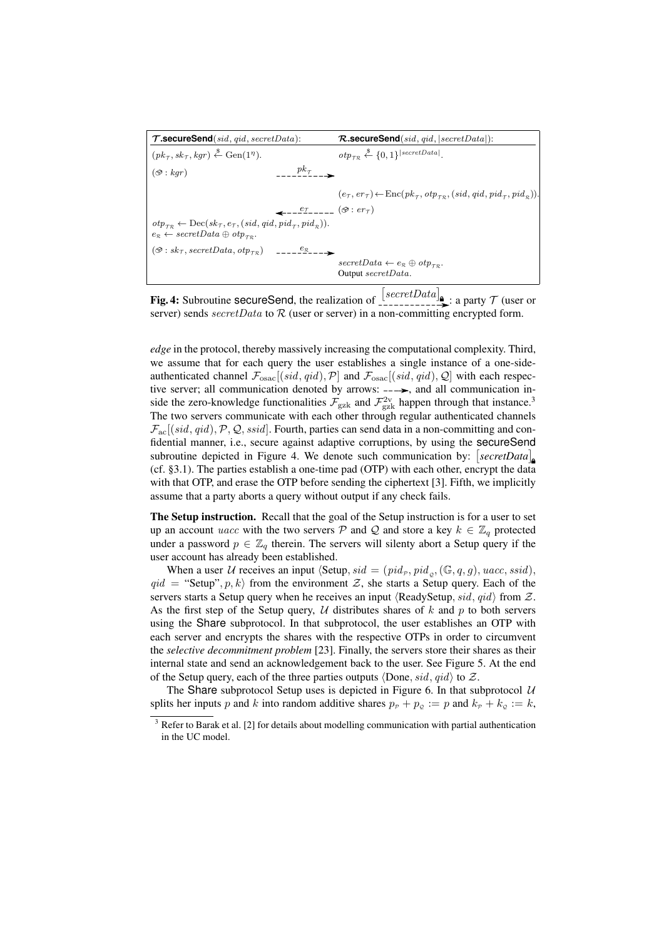

**Fig. 4:** Subroutine secureSend, the realization of  $\begin{bmatrix} secretData \end{bmatrix}$  : a party  $\mathcal T$  (user or server) sends  $secretData$  to  $R$  (user or server) in a non-committing encrypted form.

*edge* in the protocol, thereby massively increasing the computational complexity. Third, we assume that for each query the user establishes a single instance of a one-sideauthenticated channel  $\mathcal{F}_{\text{osac}}[(sid,qid), \mathcal{P}]$  and  $\mathcal{F}_{\text{osac}}[(sid,qid), \mathcal{Q}]$  with each respective server; all communication denoted by arrows:  $---\rightarrow$ , and all communication inside the zero-knowledge functionalities  $\mathcal{F}_{gzk}$  and  $\mathcal{F}_{gzk}^{2v}$  happen through that instance.<sup>3</sup> The two servers communicate with each other through regular authenticated channels  $\mathcal{F}_{\text{ac}}[(sid,qid), \mathcal{P}, \mathcal{Q}, ssid]$ . Fourth, parties can send data in a non-committing and confidential manner, i.e., secure against adaptive corruptions, by using the secureSend subroutine depicted in Figure 4. We denote such communication by: [secretData] (cf. §3.1). The parties establish a one-time pad (OTP) with each other, encrypt the data with that OTP, and erase the OTP before sending the ciphertext [3]. Fifth, we implicitly assume that a party aborts a query without output if any check fails.

The Setup instruction. Recall that the goal of the Setup instruction is for a user to set up an account *uacc* with the two servers P and Q and store a key  $k \in \mathbb{Z}_q$  protected under a password  $p \in \mathbb{Z}_q$  therein. The servers will silenty abort a Setup query if the user account has already been established.

When a user U receives an input  $\langle$ Setup,  $sid = (pid_p, pid_q, (\mathbb{G}, q, g), uacc, ssid),$  $qid = "Setup", p, k\rangle$  from the environment Z, she starts a Setup query. Each of the servers starts a Setup query when he receives an input  $\langle$ ReadySetup, sid, qid $\rangle$  from  $Z$ . As the first step of the Setup query, U distributes shares of k and p to both servers using the Share subprotocol. In that subprotocol, the user establishes an OTP with each server and encrypts the shares with the respective OTPs in order to circumvent the *selective decommitment problem* [23]. Finally, the servers store their shares as their internal state and send an acknowledgement back to the user. See Figure 5. At the end of the Setup query, each of the three parties outputs  $\langle$ Done, sid, qid $\rangle$  to Z.

The Share subprotocol Setup uses is depicted in Figure 6. In that subprotocol  $U$ splits her inputs p and k into random additive shares  $p_p + p_q := p$  and  $k_p + k_q := k$ ,

Refer to Barak et al. [2] for details about modelling communication with partial authentication in the UC model.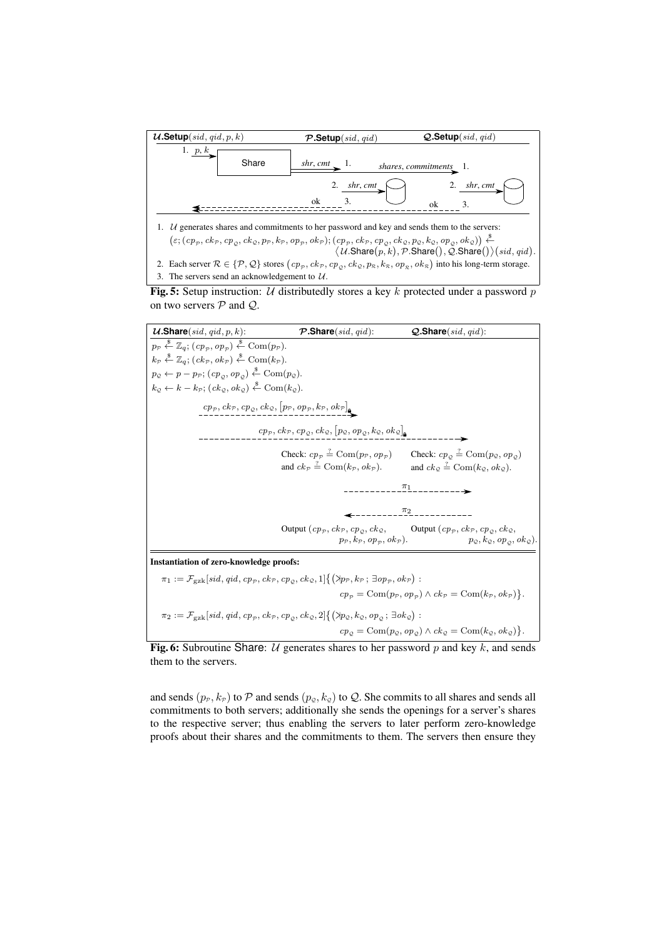





Fig. 6: Subroutine Share: U generates shares to her password p and key k, and sends them to the servers.

and sends  $(p_p, k_p)$  to P and sends  $(p_q, k_q)$  to Q. She commits to all shares and sends all commitments to both servers; additionally she sends the openings for a server's shares to the respective server; thus enabling the servers to later perform zero-knowledge proofs about their shares and the commitments to them. The servers then ensure they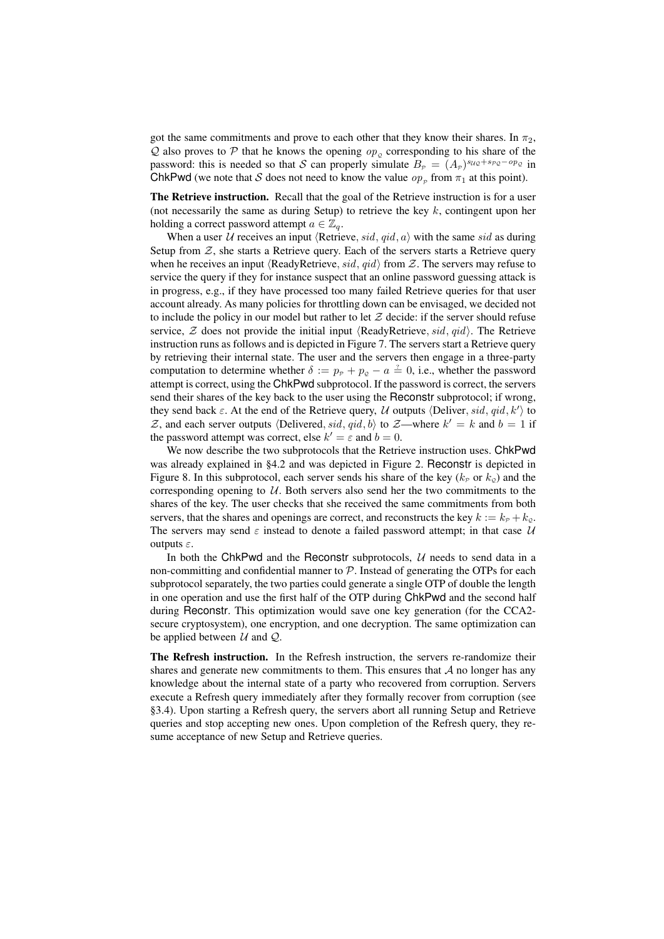got the same commitments and prove to each other that they know their shares. In  $\pi_2$ , Q also proves to P that he knows the opening  $op_{\mathcal{Q}}$  corresponding to his share of the password: this is needed so that S can properly simulate  $B_p = (A_p)^{s_{UQ} + s_{PQ} - op_Q}$  in ChkPwd (we note that S does not need to know the value  $op_{\mathcal{P}}$  from  $\pi_1$  at this point).

The Retrieve instruction. Recall that the goal of the Retrieve instruction is for a user (not necessarily the same as during Setup) to retrieve the key  $k$ , contingent upon her holding a correct password attempt  $a \in \mathbb{Z}_q$ .

When a user U receives an input  $\langle$  Retrieve, sid, qid, a) with the same sid as during Setup from  $Z$ , she starts a Retrieve query. Each of the servers starts a Retrieve query when he receives an input  $\langle ReadyRetrieve, sid, qid \rangle$  from  $\mathcal Z$ . The servers may refuse to service the query if they for instance suspect that an online password guessing attack is in progress, e.g., if they have processed too many failed Retrieve queries for that user account already. As many policies for throttling down can be envisaged, we decided not to include the policy in our model but rather to let  $Z$  decide: if the server should refuse service,  $\mathcal Z$  does not provide the initial input  $\langle$ ReadyRetrieve, sid, qid $\rangle$ . The Retrieve instruction runs as follows and is depicted in Figure 7. The servers start a Retrieve query by retrieving their internal state. The user and the servers then engage in a three-party computation to determine whether  $\delta := p_p + p_q - a \stackrel{?}{=} 0$ , i.e., whether the password attempt is correct, using the ChkPwd subprotocol. If the password is correct, the servers send their shares of the key back to the user using the Reconstr subprotocol; if wrong, they send back  $\varepsilon$ . At the end of the Retrieve query, U outputs (Deliver, sid, qid, k') to Z, and each server outputs  $\langle$ Delivered, sid, qid, b $\rangle$  to Z—where  $k' = k$  and  $b = 1$  if the password attempt was correct, else  $k' = \varepsilon$  and  $b = 0$ .

We now describe the two subprotocols that the Retrieve instruction uses. ChkPwd was already explained in §4.2 and was depicted in Figure 2. Reconstr is depicted in Figure 8. In this subprotocol, each server sends his share of the key ( $k_p$  or  $k_q$ ) and the corresponding opening to  $U$ . Both servers also send her the two commitments to the shares of the key. The user checks that she received the same commitments from both servers, that the shares and openings are correct, and reconstructs the key  $k := k_P + k_Q$ . The servers may send  $\varepsilon$  instead to denote a failed password attempt; in that case U outputs  $\varepsilon$ .

In both the ChkPwd and the Reconstr subprotocols,  $U$  needs to send data in a non-committing and confidential manner to  $P$ . Instead of generating the OTPs for each subprotocol separately, the two parties could generate a single OTP of double the length in one operation and use the first half of the OTP during ChkPwd and the second half during Reconstr. This optimization would save one key generation (for the CCA2 secure cryptosystem), one encryption, and one decryption. The same optimization can be applied between  $U$  and  $Q$ .

The Refresh instruction. In the Refresh instruction, the servers re-randomize their shares and generate new commitments to them. This ensures that  $A$  no longer has any knowledge about the internal state of a party who recovered from corruption. Servers execute a Refresh query immediately after they formally recover from corruption (see §3.4). Upon starting a Refresh query, the servers abort all running Setup and Retrieve queries and stop accepting new ones. Upon completion of the Refresh query, they resume acceptance of new Setup and Retrieve queries.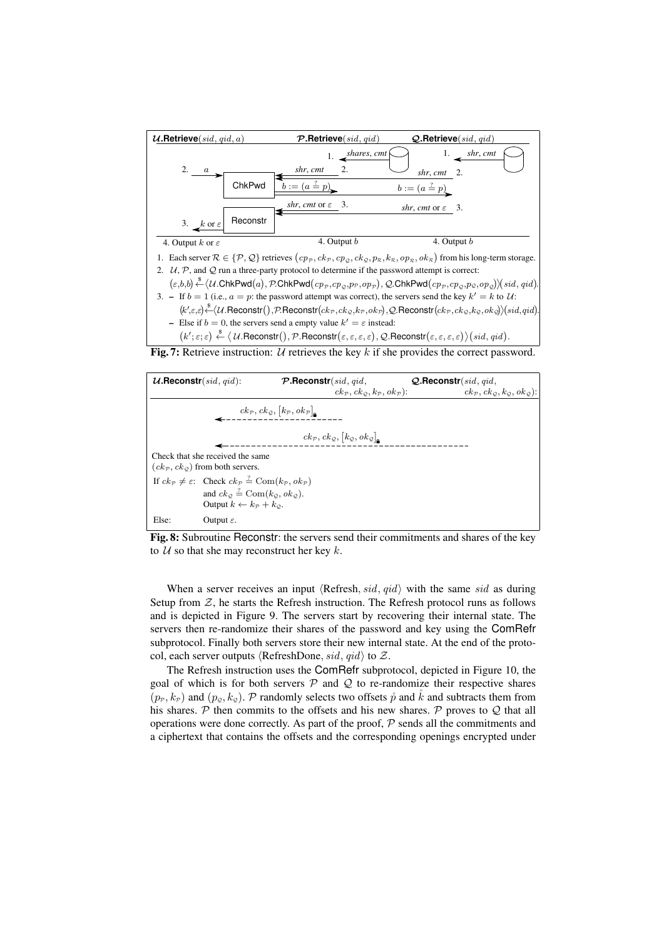

Fig. 7: Retrieve instruction:  $U$  retrieves the key k if she provides the correct password.



Fig. 8: Subroutine Reconstr: the servers send their commitments and shares of the key to  $U$  so that she may reconstruct her key  $k$ .

When a server receives an input  $\langle \text{Refresh}, \text{sid}, \text{qid} \rangle$  with the same sid as during Setup from  $Z$ , he starts the Refresh instruction. The Refresh protocol runs as follows and is depicted in Figure 9. The servers start by recovering their internal state. The servers then re-randomize their shares of the password and key using the ComRefr subprotocol. Finally both servers store their new internal state. At the end of the protocol, each server outputs  $\langle$ RefreshDone, sid, qid $\rangle$  to  $\mathcal{Z}$ .

The Refresh instruction uses the ComRefr subprotocol, depicted in Figure 10, the goal of which is for both servers  $P$  and  $Q$  to re-randomize their respective shares  $(p_p, k_p)$  and  $(p_o, k_o)$ . P randomly selects two offsets  $\mathring{p}$  and k and subtracts them from his shares.  $P$  then commits to the offsets and his new shares.  $P$  proves to  $Q$  that all operations were done correctly. As part of the proof,  $P$  sends all the commitments and a ciphertext that contains the offsets and the corresponding openings encrypted under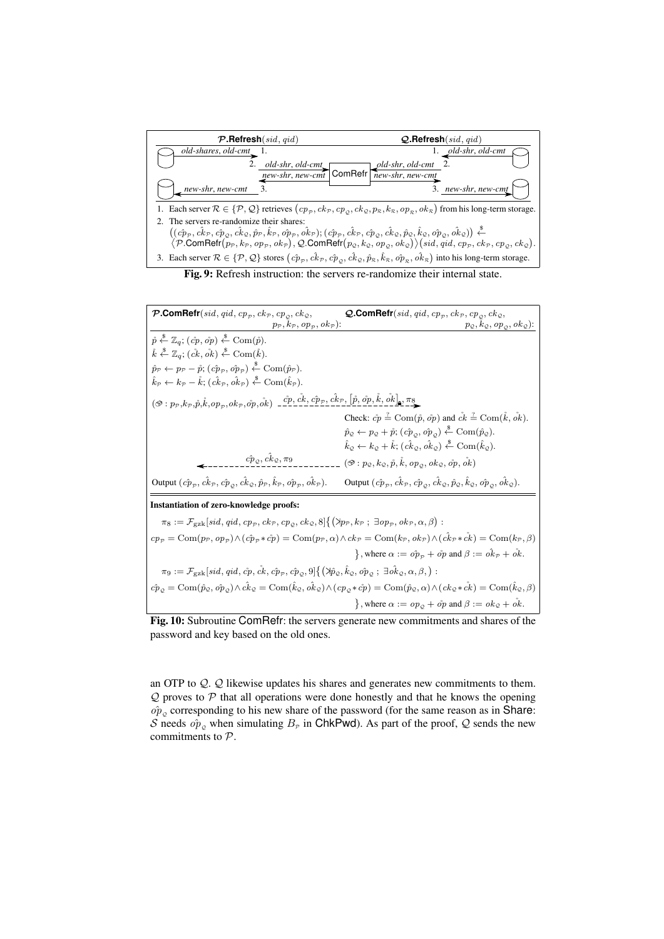



 $\mathcal{P}.\mathsf{ComRefr}(\mathit{sid},\mathit{qid},\mathit{cp}_\mathcal{P},\mathit{ck}_\mathcal{P},\mathit{cp}_\mathcal{Q},\mathit{ck}_\mathcal{Q},$  $p_\mathcal{P}, k_\mathcal{P}, \mathit{op}_\mathcal{P}, \mathit{ok}_\mathcal{P})$ :  $Q$ .ComRefr(sid, qid,  $cp_{\mathcal{P}}$ ,  $ck_{\mathcal{P}}$ ,  $cp_{\mathcal{Q}}$ ,  $ck_{\mathcal{Q}}$ ,  $p_{\mathcal{Q}}, k_{\mathcal{Q}}, op_{\mathcal{Q}}, ok_{\mathcal{Q}})$ :  $\stackrel{\$}{p} \stackrel{\$}{\leftarrow} \mathbb{Z}_q$ ;  $(\stackrel{\circ}{cp}, \stackrel{\circ}{op}) \stackrel{\$}{\leftarrow} \text{Com}(\stackrel{\circ}{p}).$  $\mathring{k} \stackrel{\$}{\leftarrow} \mathbb{Z}_q$ ;  $(\mathring{ck}, \mathring{ok}) \stackrel{\$}{\leftarrow} \text{Com}(\mathring{k})$ .  $\hat{p}_\mathcal{P} \leftarrow p_\mathcal{P} - \mathring{p}; \left( \hat{cp}_\mathcal{P}, \hat{op}_\mathcal{P} \right) \overset{\$}{\leftarrow} \text{Com}(\hat{p}_\mathcal{P}).$  $\hat{k}_\mathcal{P} \leftarrow k_\mathcal{P} - \dot{k}; (\hat{ck}_\mathcal{P}, \hat{ok}_\mathcal{P}) \stackrel{\$}{\leftarrow} \text{Com}(\hat{k}_\mathcal{P}).$  $(\mathscr{D}: p_{\mathcal{P}}, k_{\mathcal{P}}, \mathring{p}, \mathring{k}, \mathop{\mathrm{op}}\nolimits_{\mathcal{P}}, \mathop{\mathrm{op}}\nolimits_{\mathcal{P}}, \mathring{\mathop{\mathrm{op}}\nolimits_{\mathcal{P}}}, \mathring{c}_k^k, \mathop{\mathrm{op}}\nolimits_{\mathcal{P}}, \mathring{c}_k^k, \mathring{c}_p^k, \mathring{l}_p^k, \mathring{\mathop{\mathrm{op}}\nolimits_{\mathcal{P}}}^k, \mathring{c}_k^k]_{\mathop{S^1}\nolimits_{\mathcal{P}}}^{\mathop{S^1}\nolimits_{\$ Check:  $c\hat{p} \stackrel{?}{=} \text{Com}(\hat{p}, \hat{op})$  and  $c\hat{k} \stackrel{?}{=} \text{Com}(\hat{k}, \hat{ok})$ .  $\hat{p}_{\mathcal{Q}} \leftarrow p_{\mathcal{Q}} + \mathring{p}; (c\hat{p}_{\mathcal{Q}}, o\hat{p}_{\mathcal{Q}}) \stackrel{\$}{\leftarrow} \text{Com}(\hat{p}_{\mathcal{Q}}).$  $\hat{k}_{\mathcal{Q}} \leftarrow k_{\mathcal{Q}} + \hat{k}; (\hat{ck}_{\mathcal{Q}}, \hat{ok}_{\mathcal{Q}}) \stackrel{\$}{\leftarrow} \text{Com}(\hat{k}_{\mathcal{Q}}).$  $c_{P_{\mathcal{Q}}}, c_{k_{\mathcal{Q}}, \pi_{9}}^{p}$  ( $c_{P_{\mathcal{Q}}}, c_{P_{\mathcal{Q}}}, c_{\mathcal{P}}, \tilde{c}_{k}$ )  $\tilde{p}, \tilde{k}, op_{\mathcal{Q}}, ok_{\mathcal{Q}}, \tilde{op}, \tilde{ok})$ Output  $(\hat{cp}_\mathcal{P}, \hat{ck}_\mathcal{P}, \hat{cp}_\mathcal{Q}, \hat{ck}_\mathcal{Q}, \hat{p}_\mathcal{P}, \hat{k}_\mathcal{P}, \hat{op}_\mathcal{P},$ ,  $\hat{ok}_{\mathcal{P}}$ ). Output  $(c\hat{p}_{\mathcal{P}}, c\hat{k}_{\mathcal{P}}, c\hat{p}_{\mathcal{Q}}, c\hat{k}_{\mathcal{Q}}, \hat{p}_{\mathcal{Q}}, \hat{k}_{\mathcal{Q}}, o\hat{p}_{\mathcal{Q}}, o\hat{k}_{\mathcal{Q}})$ . Instantiation of zero-knowledge proofs:  $\pi_8 := \mathcal{F}_{\rm gzk}[sid,qid,cp_p,ck_p,cp_{\mathcal{Q}},ck_{\mathcal{Q}},8]\big\{\big(\lambda p_p,k_p~;~\exists op_p,ok_p,\alpha,\beta\big) :$  $cp_{\mathcal{P}} = \text{Com}(p_{\mathcal{P}}, op_{\mathcal{P}}) \wedge (\hat{cp}_{\mathcal{P}} * \mathring{cp}) = \text{Com}(p_{\mathcal{P}}, \alpha) \wedge ck_{\mathcal{P}} = \text{Com}(k_{\mathcal{P}}, ok_{\mathcal{P}}) \wedge (\mathring{ck}_{\mathcal{P}} * \mathring{ck}) = \text{Com}(k_{\mathcal{P}}, \beta)$ }, where  $\alpha := \partial p_p + \partial p$  and  $\beta := \partial k_p + \partial k$ .  $\pi_9 := \mathcal{F}_{\rm gzk}[sid, qid, \r{c}\r{p}, \r{c}\r{k}, \r{c}\r{p}_\rho, \r{c}\r{p}_\mathcal{Q}, 9] \big\{ \big(\r{b}\r{p}_\mathcal{Q}, \r{k}_\mathcal{Q}, \r{o}\r{p}_\mathcal{Q} \, ; \, \exists \r{o}\r{k}_\mathcal{Q}, \alpha, \beta, \big) :$  $c\hat{p}_\mathcal{Q} = \text{Com}(\hat{p}_\mathcal{Q}, o\hat{p}_\mathcal{Q}) \wedge c\hat{k}_\mathcal{Q} = \text{Com}(\hat{k}_\mathcal{Q}, o\hat{k}_\mathcal{Q}) \wedge (c p_\mathcal{Q} * c\hat{p}) = \text{Com}(\hat{p}_\mathcal{Q}, \alpha) \wedge (c k_\mathcal{Q} * c\hat{k}) = \text{Com}(\hat{k}_\mathcal{Q}, \beta)$ }, where  $\alpha := op_{\mathcal{Q}} + op$  and  $\beta := ok_{\mathcal{Q}} + \overset{\circ}{ok}$ .



an OTP to  $Q$ .  $Q$  likewise updates his shares and generates new commitments to them.  $Q$  proves to  $P$  that all operations were done honestly and that he knows the opening  $\hat{op}_{\varrho}$  corresponding to his new share of the password (for the same reason as in Share: S needs  $\hat{op}_{\varrho}$  when simulating  $B_{\varrho}$  in ChkPwd). As part of the proof, Q sends the new commitments to P.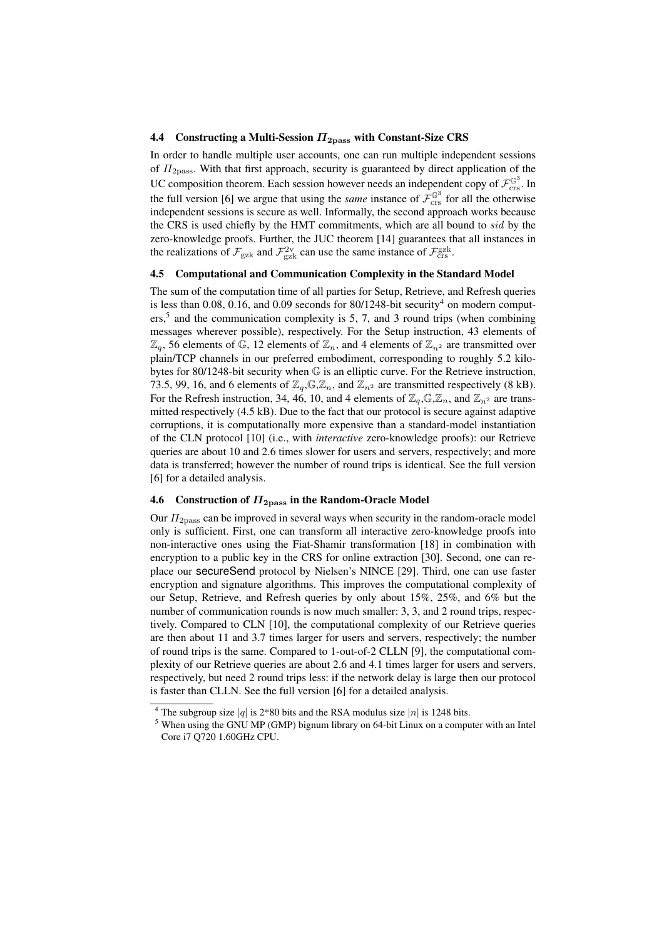### 4.4 Constructing a Multi-Session  $\Pi_{\text{2pass}}$  with Constant-Size CRS

In order to handle multiple user accounts, one can run multiple independent sessions of  $\Pi_{\text{2pass}}$ . With that first approach, security is guaranteed by direct application of the UC composition theorem. Each session however needs an independent copy of  $\mathcal{F}^{\mathbb{G}^3}_{\text{crs}}$ . In the full version [6] we argue that using the *same* instance of  $\mathcal{F}_{\text{crs}}^{\mathbb{G}^3}$  for all the otherwise independent sessions is secure as well. Informally, the second approach works because the CRS is used chiefly by the HMT commitments, which are all bound to sid by the zero-knowledge proofs. Further, the JUC theorem [14] guarantees that all instances in the realizations of  $\mathcal{F}_{gzk}$  and  $\mathcal{F}_{gzk}^{2v}$  can use the same instance of  $\mathcal{F}_{crs}^{gzk}$ .

# 4.5 Computational and Communication Complexity in the Standard Model

The sum of the computation time of all parties for Setup, Retrieve, and Refresh queries is less than 0.08, 0.16, and 0.09 seconds for 80/1248-bit security<sup>4</sup> on modern computers,<sup>5</sup> and the communication complexity is 5, 7, and 3 round trips (when combining messages wherever possible), respectively. For the Setup instruction, 43 elements of  $\mathbb{Z}_q$ , 56 elements of G, 12 elements of  $\mathbb{Z}_n$ , and 4 elements of  $\mathbb{Z}_{n^2}$  are transmitted over plain/TCP channels in our preferred embodiment, corresponding to roughly 5.2 kilobytes for 80/1248-bit security when  $\mathbb G$  is an elliptic curve. For the Retrieve instruction, 73.5, 99, 16, and 6 elements of  $\mathbb{Z}_q$ ,  $\mathbb{G}, \mathbb{Z}_n$ , and  $\mathbb{Z}_{n^2}$  are transmitted respectively (8 kB). For the Refresh instruction, 34, 46, 10, and 4 elements of  $\mathbb{Z}_q$ ,  $\mathbb{G}$ ,  $\mathbb{Z}_n$ , and  $\mathbb{Z}_{n^2}$  are transmitted respectively (4.5 kB). Due to the fact that our protocol is secure against adaptive corruptions, it is computationally more expensive than a standard-model instantiation of the CLN protocol [10] (i.e., with *interactive* zero-knowledge proofs): our Retrieve queries are about 10 and 2.6 times slower for users and servers, respectively; and more data is transferred; however the number of round trips is identical. See the full version [6] for a detailed analysis.

### 4.6 Construction of  $\Pi_{\text{2pass}}$  in the Random-Oracle Model

Our  $\Pi_{\text{2pass}}$  can be improved in several ways when security in the random-oracle model only is sufficient. First, one can transform all interactive zero-knowledge proofs into non-interactive ones using the Fiat-Shamir transformation [18] in combination with encryption to a public key in the CRS for online extraction [30]. Second, one can replace our secureSend protocol by Nielsen's NINCE [29]. Third, one can use faster encryption and signature algorithms. This improves the computational complexity of our Setup, Retrieve, and Refresh queries by only about 15%, 25%, and 6% but the number of communication rounds is now much smaller: 3, 3, and 2 round trips, respectively. Compared to CLN [10], the computational complexity of our Retrieve queries are then about 11 and 3.7 times larger for users and servers, respectively; the number of round trips is the same. Compared to 1-out-of-2 CLLN [9], the computational complexity of our Retrieve queries are about 2.6 and 4.1 times larger for users and servers, respectively, but need 2 round trips less: if the network delay is large then our protocol is faster than CLLN. See the full version [6] for a detailed analysis.

<sup>&</sup>lt;sup>4</sup> The subgroup size  $|q|$  is 2\*80 bits and the RSA modulus size  $|n|$  is 1248 bits.

<sup>5</sup> When using the GNU MP (GMP) bignum library on 64-bit Linux on a computer with an Intel Core i7 Q720 1.60GHz CPU.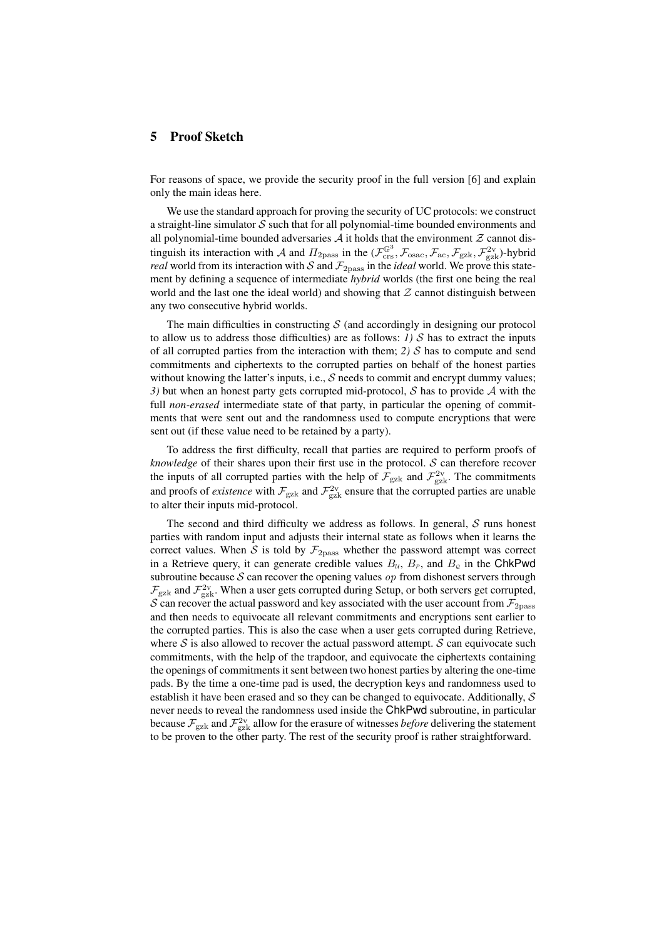### 5 Proof Sketch

For reasons of space, we provide the security proof in the full version [6] and explain only the main ideas here.

We use the standard approach for proving the security of UC protocols: we construct a straight-line simulator  $S$  such that for all polynomial-time bounded environments and all polynomial-time bounded adversaries  $A$  it holds that the environment  $Z$  cannot distinguish its interaction with A and  $\Pi_{\text{2pass}}$  in the  $(\mathcal{F}_{\text{crs}}^{\mathbb{G}^3}, \mathcal{F}_{\text{osac}}, \mathcal{F}_{\text{ac}}, \mathcal{F}_{\text{gzk}}, \mathcal{F}_{\text{gzk}}^{2v})$ -hybrid *real* world from its interaction with S and  $\mathcal{F}_{2\text{pass}}$  in the *ideal* world. We prove this statement by defining a sequence of intermediate *hybrid* worlds (the first one being the real world and the last one the ideal world) and showing that  $Z$  cannot distinguish between any two consecutive hybrid worlds.

The main difficulties in constructing  $S$  (and accordingly in designing our protocol to allow us to address those difficulties) are as follows:  $I$ )  $S$  has to extract the inputs of all corrupted parties from the interaction with them; 2)  $S$  has to compute and send commitments and ciphertexts to the corrupted parties on behalf of the honest parties without knowing the latter's inputs, i.e.,  $S$  needs to commit and encrypt dummy values; *3)* but when an honest party gets corrupted mid-protocol, S has to provide A with the full *non-erased* intermediate state of that party, in particular the opening of commitments that were sent out and the randomness used to compute encryptions that were sent out (if these value need to be retained by a party).

To address the first difficulty, recall that parties are required to perform proofs of *knowledge* of their shares upon their first use in the protocol. S can therefore recover the inputs of all corrupted parties with the help of  $\mathcal{F}_{gzk}$  and  $\mathcal{F}_{gzk}^{2v}$ . The commitments and proofs of *existence* with  $\mathcal{F}_{\text{gzk}}$  and  $\mathcal{F}_{\text{gzk}}^{2v}$  ensure that the corrupted parties are unable to alter their inputs mid-protocol.

The second and third difficulty we address as follows. In general,  $S$  runs honest parties with random input and adjusts their internal state as follows when it learns the correct values. When S is told by  $\mathcal{F}_{2\text{pass}}$  whether the password attempt was correct in a Retrieve query, it can generate credible values  $B_{\mathcal{U}}$ ,  $B_{\mathcal{P}}$ , and  $B_{\mathcal{Q}}$  in the ChkPwd subroutine because  $S$  can recover the opening values  $op$  from dishonest servers through  $\mathcal{F}_{\rm gzk}$  and  $\mathcal{F}_{\rm gzk}^{2v}$ . When a user gets corrupted during Setup, or both servers get corrupted, S can recover the actual password and key associated with the user account from  $\mathcal{F}_{2\text{pass}}$ and then needs to equivocate all relevant commitments and encryptions sent earlier to the corrupted parties. This is also the case when a user gets corrupted during Retrieve, where S is also allowed to recover the actual password attempt. S can equivocate such commitments, with the help of the trapdoor, and equivocate the ciphertexts containing the openings of commitments it sent between two honest parties by altering the one-time pads. By the time a one-time pad is used, the decryption keys and randomness used to establish it have been erased and so they can be changed to equivocate. Additionally,  $S$ never needs to reveal the randomness used inside the ChkPwd subroutine, in particular because  $\mathcal{F}_{gzk}$  and  $\mathcal{F}_{gzk}^{2v}$  allow for the erasure of witnesses *before* delivering the statement to be proven to the other party. The rest of the security proof is rather straightforward.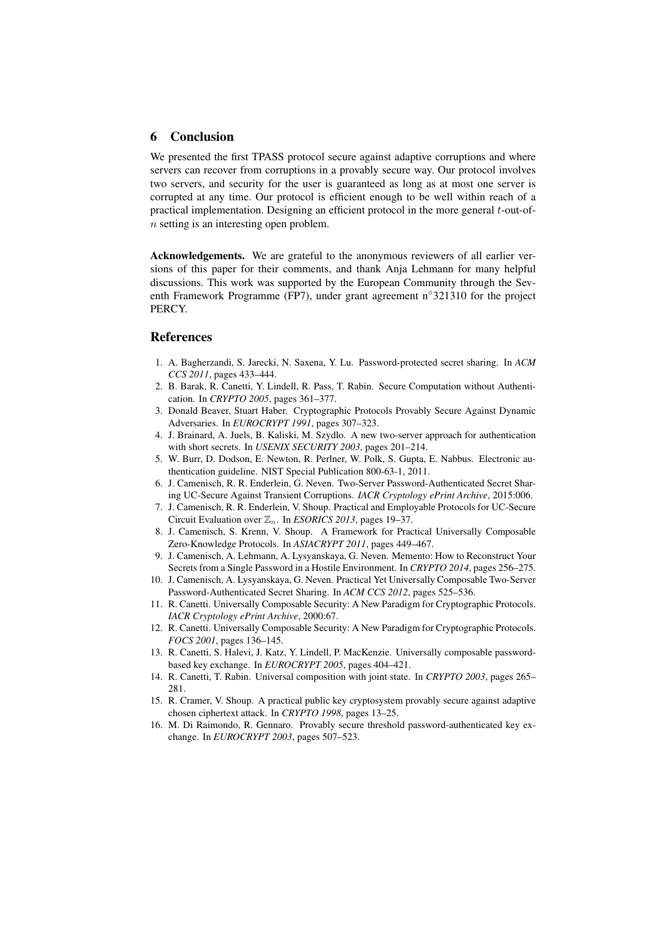# 6 Conclusion

We presented the first TPASS protocol secure against adaptive corruptions and where servers can recover from corruptions in a provably secure way. Our protocol involves two servers, and security for the user is guaranteed as long as at most one server is corrupted at any time. Our protocol is efficient enough to be well within reach of a practical implementation. Designing an efficient protocol in the more general t-out-ofn setting is an interesting open problem.

Acknowledgements. We are grateful to the anonymous reviewers of all earlier versions of this paper for their comments, and thank Anja Lehmann for many helpful discussions. This work was supported by the European Community through the Seventh Framework Programme (FP7), under grant agreement n◦321310 for the project PERCY.

### References

- 1. A. Bagherzandi, S. Jarecki, N. Saxena, Y. Lu. Password-protected secret sharing. In *ACM CCS 2011*, pages 433–444.
- 2. B. Barak, R. Canetti, Y. Lindell, R. Pass, T. Rabin. Secure Computation without Authentication. In *CRYPTO 2005*, pages 361–377.
- 3. Donald Beaver, Stuart Haber. Cryptographic Protocols Provably Secure Against Dynamic Adversaries. In *EUROCRYPT 1991*, pages 307–323.
- 4. J. Brainard, A. Juels, B. Kaliski, M. Szydlo. A new two-server approach for authentication with short secrets. In *USENIX SECURITY 2003*, pages 201–214.
- 5. W. Burr, D. Dodson, E. Newton, R. Perlner, W. Polk, S. Gupta, E. Nabbus. Electronic authentication guideline. NIST Special Publication 800-63-1, 2011.
- 6. J. Camenisch, R. R. Enderlein, G. Neven. Two-Server Password-Authenticated Secret Sharing UC-Secure Against Transient Corruptions. *IACR Cryptology ePrint Archive*, 2015:006.
- 7. J. Camenisch, R. R. Enderlein, V. Shoup. Practical and Employable Protocols for UC-Secure Circuit Evaluation over  $\mathbb{Z}_n$ . In *ESORICS 2013*, pages 19–37.
- 8. J. Camenisch, S. Krenn, V. Shoup. A Framework for Practical Universally Composable Zero-Knowledge Protocols. In *ASIACRYPT 2011*, pages 449–467.
- 9. J. Camenisch, A. Lehmann, A. Lysyanskaya, G. Neven. Memento: How to Reconstruct Your Secrets from a Single Password in a Hostile Environment. In *CRYPTO 2014*, pages 256–275.
- 10. J. Camenisch, A. Lysyanskaya, G. Neven. Practical Yet Universally Composable Two-Server Password-Authenticated Secret Sharing. In *ACM CCS 2012*, pages 525–536.
- 11. R. Canetti. Universally Composable Security: A New Paradigm for Cryptographic Protocols. *IACR Cryptology ePrint Archive*, 2000:67.
- 12. R. Canetti. Universally Composable Security: A New Paradigm for Cryptographic Protocols. *FOCS 2001*, pages 136–145.
- 13. R. Canetti, S. Halevi, J. Katz, Y. Lindell, P. MacKenzie. Universally composable passwordbased key exchange. In *EUROCRYPT 2005*, pages 404–421.
- 14. R. Canetti, T. Rabin. Universal composition with joint state. In *CRYPTO 2003*, pages 265– 281.
- 15. R. Cramer, V. Shoup. A practical public key cryptosystem provably secure against adaptive chosen ciphertext attack. In *CRYPTO 1998*, pages 13–25.
- 16. M. Di Raimondo, R. Gennaro. Provably secure threshold password-authenticated key exchange. In *EUROCRYPT 2003*, pages 507–523.